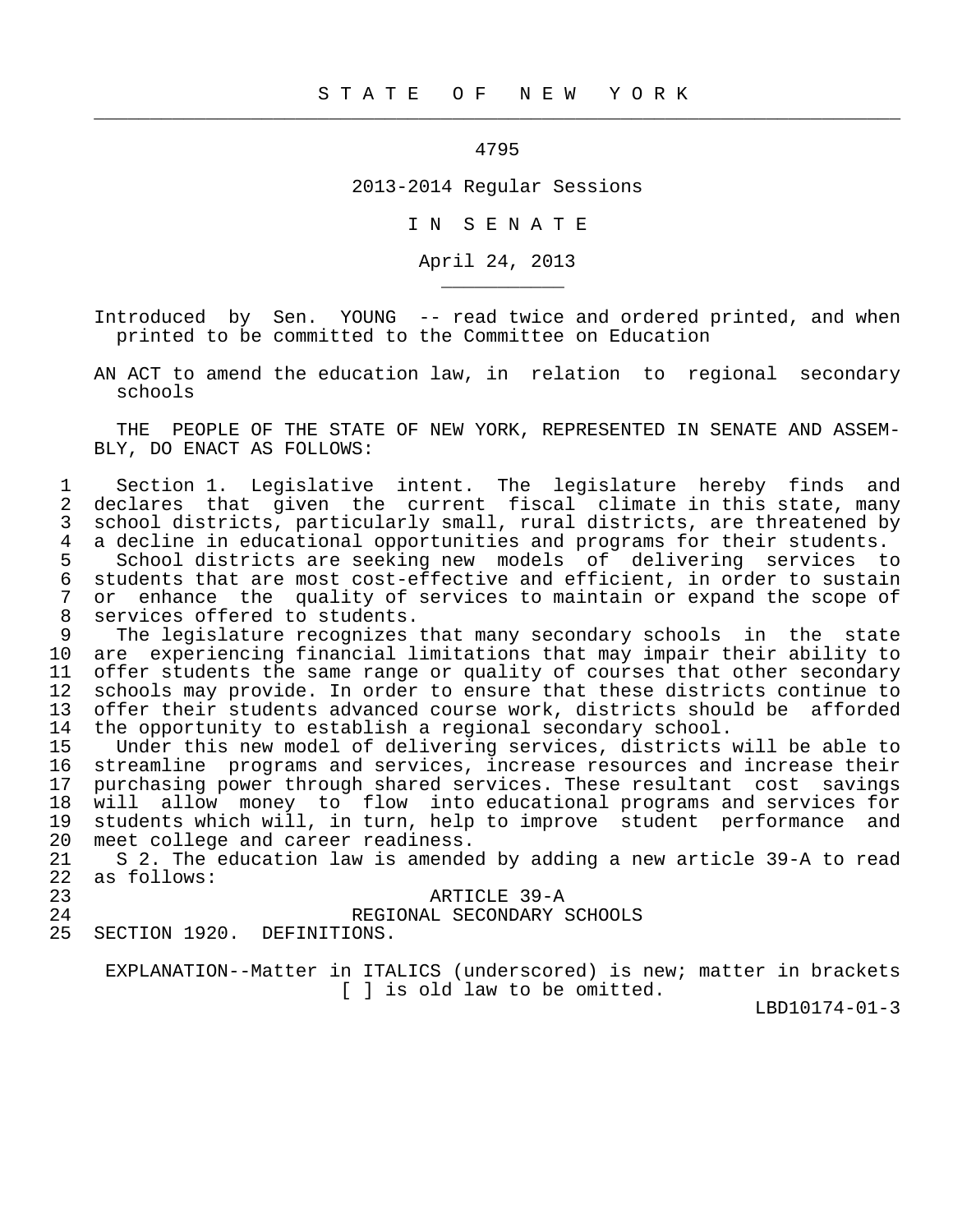## 4795

 $\frac{1}{2}$  , and the contribution of the contribution of the contribution of the contribution of the contribution of the contribution of the contribution of the contribution of the contribution of the contribution of the c

2013-2014 Regular Sessions

I N S E N A T E

April 24, 2013

 Introduced by Sen. YOUNG -- read twice and ordered printed, and when printed to be committed to the Committee on Education

 AN ACT to amend the education law, in relation to regional secondary schools

 THE PEOPLE OF THE STATE OF NEW YORK, REPRESENTED IN SENATE AND ASSEM- BLY, DO ENACT AS FOLLOWS:

1 Section 1. Legislative intent. The legislature hereby finds and<br>2 declares that given the current fiscal climate in this state, many 2 declares that given the current fiscal climate in this state, many<br>3 school districts, particularly small, rural districts, are threatened by 3 school districts, particularly small, rural districts, are threatened by<br>4 a decline in educational opportunities and programs for their students. 4 a decline in educational opportunities and programs for their students.<br>5 School districts are seeking new models of delivering services to

 5 School districts are seeking new models of delivering services to 6 students that are most cost-effective and efficient, in order to sustain 7 or enhance the quality of services to maintain or expand the scope of services of fered to students. 8 services offered to students.<br>9 The legislature recognizes

9 The legislature recognizes that many secondary schools in the state<br>10 are experiencing financial limitations that may impair their ability to are experiencing financial limitations that may impair their ability to 11 offer students the same range or quality of courses that other secondary<br>12 schools may provide. In order to ensure that these districts continue to 12 schools may provide. In order to ensure that these districts continue to<br>13 offer their students advanced course work, districts should be afforded 13 offer their students advanced course work, districts should be afforded<br>14 the opportunity to establish a regional secondary school. 14 the opportunity to establish a regional secondary school.<br>15 Under this new model of delivering services, districts

 15 Under this new model of delivering services, districts will be able to streamline programs and services, increase resources and increase their 17 purchasing power through shared services. These resultant cost savings<br>18 will allow money to flow into educational programs and services for 18 will allow money to flow into educational programs and services for 19 students which will, in turn, help to improve student performance and 20 meet college and career readiness.<br>21 S 2. The education law is amended

 21 S 2. The education law is amended by adding a new article 39-A to read 22 as follows:

## 23 ARTICLE 39-A

24 REGIONAL SECONDARY SCHOOLS<br>25 SECTION 1920. DEFINITIONS.

SECTION 1920. DEFINITIONS.

\_\_\_\_\_\_\_\_\_\_\_

 EXPLANATION--Matter in ITALICS (underscored) is new; matter in brackets [ ] is old law to be omitted.

LBD10174-01-3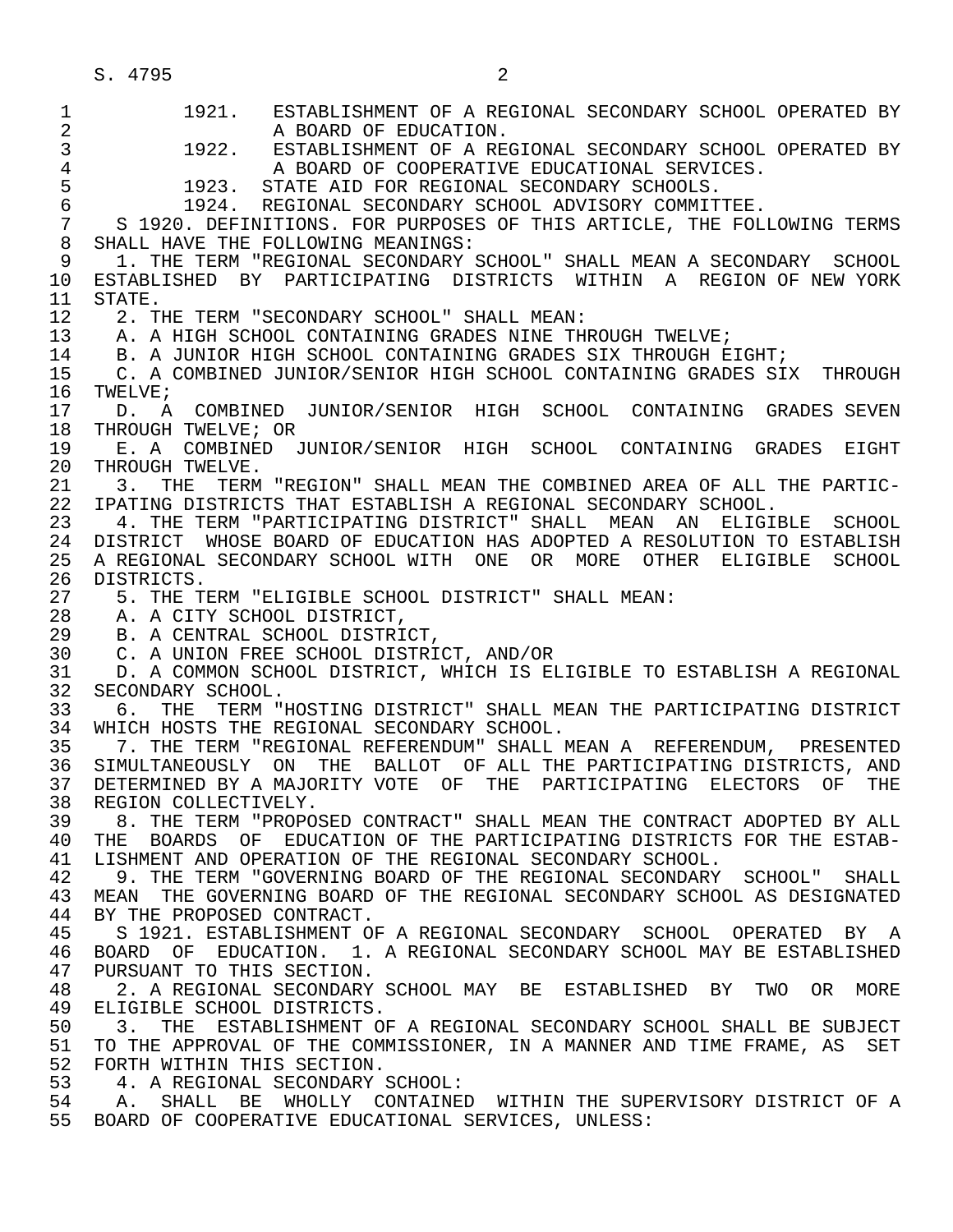1 1921. ESTABLISHMENT OF A REGIONAL SECONDARY SCHOOL OPERATED BY 2 A BOARD OF EDUCATION.<br>3 1922. ESTABLISHMENT OF A RE 3 1922. ESTABLISHMENT OF A REGIONAL SECONDARY SCHOOL OPERATED BY<br>4 1 2 2 3 A BOARD OF COOPERATIVE EDUCATIONAL SERVICES. 4 A BOARD OF COOPERATIVE EDUCATIONAL SERVICES.<br>5 1923. STATE AID FOR REGIONAL SECONDARY SCHOOLS. 5 1923. STATE AID FOR REGIONAL SECONDARY SCHOOLS. 6 1924. REGIONAL SECONDARY SCHOOL ADVISORY COMMITTEE. 7 S 1920. DEFINITIONS. FOR PURPOSES OF THIS ARTICLE, THE FOLLOWING TERMS<br>8 SHALL HAVE THE FOLLOWING MEANINGS: 8 SHALL HAVE THE FOLLOWING MEANINGS:<br>9 1. THE TERM "REGIONAL SECONDARY ! 9 1. THE TERM "REGIONAL SECONDARY SCHOOL" SHALL MEAN A SECONDARY SCHOOL 10 ESTABLISHED BY PARTICIPATING DISTRICTS WITHIN A REGION<sup>OF NEW</sup> YORK<br>11 STATE. 11 STATE.<br>12 2.T 12 2. THE TERM "SECONDARY SCHOOL" SHALL MEAN: 13 A. A HIGH SCHOOL CONTAINING GRADES NINE THROUGH TWELVE;<br>14 B. A JUNIOR HIGH SCHOOL CONTAINING GRADES SIX THROUGH E B. A JUNIOR HIGH SCHOOL CONTAINING GRADES SIX THROUGH EIGHT; 15 C. A COMBINED JUNIOR/SENIOR HIGH SCHOOL CONTAINING GRADES SIX THROUGH 16 TWELVE; 16 TWELVE;<br>17 D. A 17 D. A COMBINED JUNIOR/SENIOR HIGH SCHOOL CONTAINING GRADES SEVEN<br>18 THROUGH TWELVE; OR 18 THROUGH TWELVE; OR<br>19 E. A COMBINED J 19 E. A COMBINED JUNIOR/SENIOR HIGH SCHOOL CONTAINING GRADES EIGHT<br>20 THROUGH TWELVE. 20 THROUGH TWELVE.<br>21 3. THE TERM 21 3. THE TERM "REGION" SHALL MEAN THE COMBINED AREA OF ALL THE PARTIC-<br>22 IPATING DISTRICTS THAT ESTABLISH A REGIONAL SECONDARY SCHOOL. 22 IPATING DISTRICTS THAT ESTABLISH A REGIONAL SECONDARY SCHOOL. 23 4. THE TERM "PARTICIPATING DISTRICT" SHALL MEAN AN ELIGIBLE SCHOOL 24 DISTRICT WHOSE BOARD OF EDUCATION HAS ADOPTED A RESOLUTION TO ESTABLISH<br>25 A REGIONAL SECONDARY SCHOOL WITH ONE OR MORE OTHER ELIGIBLE SCHOOL 25 A REGIONAL SECONDARY SCHOOL WITH ONE OR MORE OTHER ELIGIBLE SCHOOL 26 DISTRICTS.<br>27 5. THE T 27 5. THE TERM "ELIGIBLE SCHOOL DISTRICT" SHALL MEAN:<br>28 A. A CITY SCHOOL DISTRICT. 28 A. A CITY SCHOOL DISTRICT,<br>29 B. A CENTRAL SCHOOL DISTRI 29 B. A CENTRAL SCHOOL DISTRICT,<br>30 C. A UNION FREE SCHOOL DISTRI 30 C. A UNION FREE SCHOOL DISTRICT, AND/OR<br>31 D. A COMMON SCHOOL DISTRICT, WHICH IS EI 31 D. A COMMON SCHOOL DISTRICT, WHICH IS ELIGIBLE TO ESTABLISH A REGIONAL 32 SECONDARY SCHOOL. 32 SECONDARY SCHOOL.<br>33 6. THE TERM " 33 6. THE TERM "HOSTING DISTRICT" SHALL MEAN THE PARTICIPATING DISTRICT 34 WHICH HOSTS THE REGIONAL SECONDARY SCHOOL.<br>35 7. THE TERM "REGIONAL REFERENDUM" SHALL 35 7. THE TERM "REGIONAL REFERENDUM" SHALL MEAN A REFERENDUM, PRESENTED 36 SIMULTANEOUSLY ON THE BALLOT OF ALL THE PARTICIPATING DISTRICTS, AND 37 DETERMINED BY A MAJORITY VOTE OF THE PARTICIPATING ELECTORS OF THE 38 REGION COLLECTIVELY. 38 REGION COLLECTIVELY.<br>39 8. THE TERM "PROPO 39 8. THE TERM "PROPOSED CONTRACT" SHALL MEAN THE CONTRACT ADOPTED BY ALL 40 THE BOARDS OF EDUCATION OF THE PARTICIPATING DISTRICTS FOR THE ESTAB-<br>41 LISHMENT AND OPERATION OF THE REGIONAL SECONDARY SCHOOL. 41 LISHMENT AND OPERATION OF THE REGIONAL SECONDARY SCHOOL.<br>42 9. THE TERM "GOVERNING BOARD OF THE REGIONAL SECONDARY 42 9. THE TERM "GOVERNING BOARD OF THE REGIONAL SECONDARY SCHOOL" SHALL<br>43 MEAN THE GOVERNING BOARD OF THE REGIONAL SECONDARY SCHOOL AS DESIGNATED 43 MEAN THE GOVERNING BOARD OF THE REGIONAL SECONDARY SCHOOL AS DESIGNATED<br>44 BY THE PROPOSED CONTRACT. 44 BY THE PROPOSED CONTRACT.<br>45 S 1921. ESTABLISHMENT O 45 S 1921. ESTABLISHMENT OF A REGIONAL SECONDARY SCHOOL OPERATED BY A 46 BOARD OF EDUCATION. 1. A REGIONAL SECONDARY SCHOOL MAY BE ESTABLISHED<br>47 PURSUANT TO THIS SECTION. PURSUANT TO THIS SECTION. 48 2. A REGIONAL SECONDARY SCHOOL MAY BE ESTABLISHED BY TWO OR MORE 49 ELIGIBLE SCHOOL DISTRICTS.<br>50 3. THE ESTABLISHMENT OF 50 3. THE ESTABLISHMENT OF A REGIONAL SECONDARY SCHOOL SHALL BE SUBJECT<br>51 TO THE APPROVAL OF THE COMMISSIONER, IN A MANNER AND TIME FRAME, AS SET 51 TO THE APPROVAL OF THE COMMISSIONER, IN A MANNER AND TIME FRAME, AS SET 52 FORTH WITHIN THIS SECTION.<br>53 4. A REGIONAL SECONDARY 53 4. A REGIONAL SECONDARY SCHOOL: 54 A. SHALL BE WHOLLY CONTAINED WITHIN THE SUPERVISORY DISTRICT OF A 55 BOARD OF COOPERATIVE EDUCATIONAL SERVICES, UNLESS: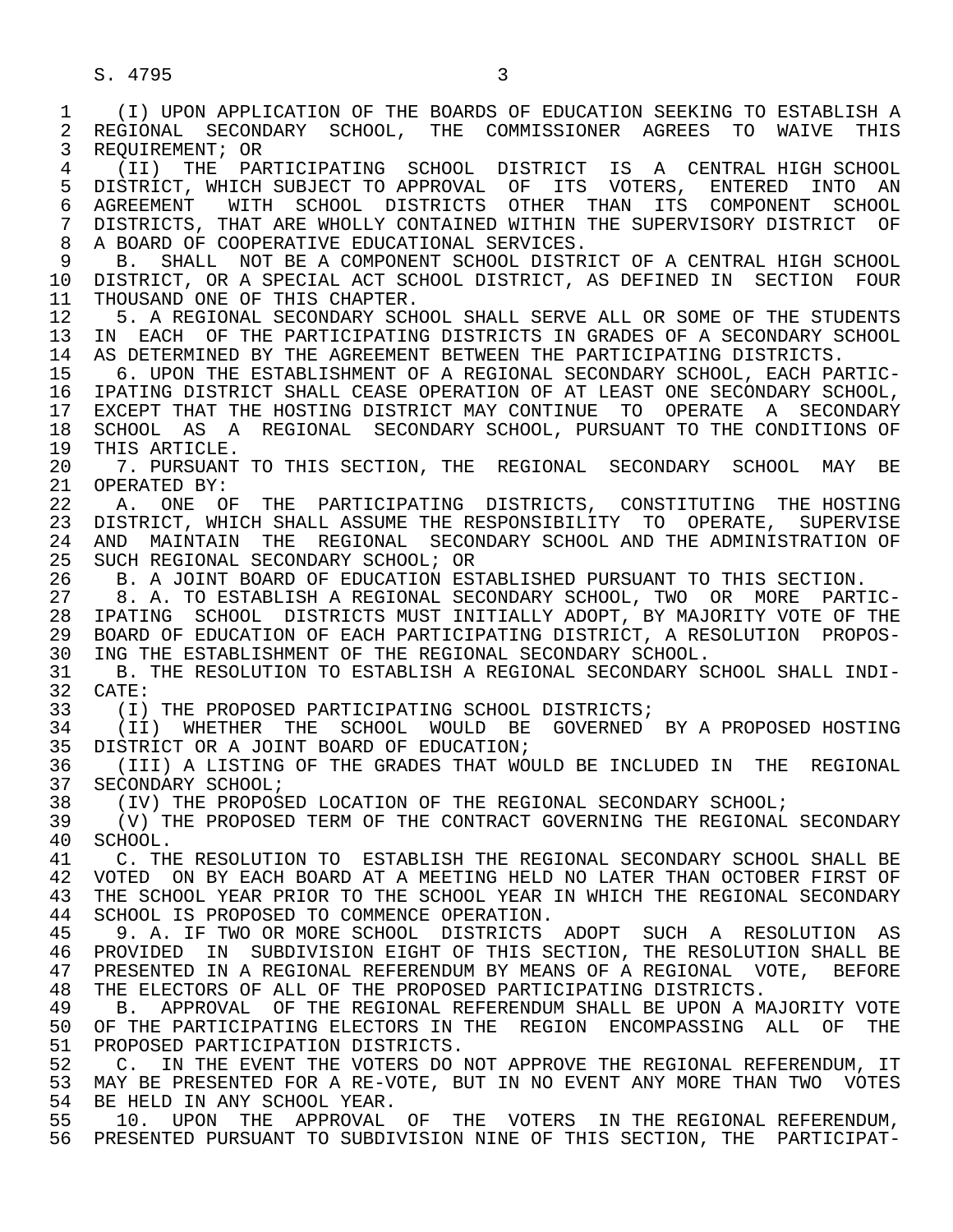1 (I) UPON APPLICATION OF THE BOARDS OF EDUCATION SEEKING TO ESTABLISH A 2 REGIONAL SECONDARY SCHOOL, THE COMMISSIONER AGREES TO WAIVE THIS<br>3 REOUIREMENT; OR 3 REQUIREMENT; OR 4 (II) THE PARTICIPATING SCHOOL DISTRICT IS A CENTRAL HIGH SCHOOL 5 DISTRICT, WHICH SUBJECT TO APPROVAL OF ITS VOTERS, ENTERED INTO AN 6 AGREEMENT WITH SCHOOL DISTRICTS OTHER THAN ITS COMPONENT SCHOOL 7 DISTRICTS, THAT ARE WHOLLY CONTAINED WITHIN THE SUPERVISORY DISTRICT OF 3 A BOARD OF COOPERATIVE EDUCATIONAL SERVICES 8 A BOARD OF COOPERATIVE EDUCATIONAL SERVICES.<br>9 B. SHALL NOT BE A COMPONENT SCHOOL DISTRI B. SHALL NOT BE A COMPONENT SCHOOL DISTRICT OF A CENTRAL HIGH SCHOOL<br>10 DISTRICT, OR A SPECIAL ACT SCHOOL DISTRICT, AS DEFINED IN SECTION FOUR 10 DISTRICT, OR A SPECIAL ACT SCHOOL DISTRICT, AS DEFINED IN SECTION FOUR<br>11 THOUSAND ONE OF THIS CHAPTER. 11 THOUSAND ONE OF THIS CHAPTER.<br>12 5. A REGIONAL SECONDARY SCH 12 5. A REGIONAL SECONDARY SCHOOL SHALL SERVE ALL OR SOME OF THE STUDENTS<br>13 IN EACH OF THE PARTICIPATING DISTRICTS IN GRADES OF A SECONDARY SCHOOL 13 IN EACH OF THE PARTICIPATING DISTRICTS IN GRADES OF A SECONDARY SCHOOL 14 AS DETERMINED BY THE AGREEMENT BETWEEN THE PARTICIPATING DISTRICTS. AS DETERMINED BY THE AGREEMENT BETWEEN THE PARTICIPATING DISTRICTS. 15 6. UPON THE ESTABLISHMENT OF A REGIONAL SECONDARY SCHOOL, EACH PARTIC-<br>16 IPATING DISTRICT SHALL CEASE OPERATION OF AT LEAST ONE SECONDARY SCHOOL, 16 IPATING DISTRICT SHALL CEASE OPERATION OF AT LEAST ONE SECONDARY SCHOOL,<br>17 EXCEPT THAT THE HOSTING DISTRICT MAY CONTINUE TO OPERATE A SECONDARY 17 EXCEPT THAT THE HOSTING DISTRICT MAY CONTINUE TO OPERATE A SECONDARY<br>18 SCHOOL AS A REGIONAL SECONDARY SCHOOL, PURSUANT TO THE CONDITIONS OF 18 SCHOOL AS A REGIONAL SECONDARY SCHOOL, PURSUANT TO THE CONDITIONS OF 19 THIS ARTICLE. 19 THIS ARTICLE.<br>20 7. PURSUANT 20 7. PURSUANT TO THIS SECTION, THE REGIONAL SECONDARY SCHOOL MAY BE 21 OPERATED BY: 21 OPERATED BY:<br>22 A. ONE OF 22 A. ONE OF THE PARTICIPATING DISTRICTS, CONSTITUTING THE HOSTING<br>23 DISTRICT, WHICH SHALL ASSUME THE RESPONSIBILITY TO OPERATE, SUPERVISE 23 DISTRICT, WHICH SHALL ASSUME THE RESPONSIBILITY TO OPERATE, SUPERVISE 24 AND MAINTAIN THE REGIONAL SECONDARY SCHOOL AND THE ADMINISTRATION OF<br>25 SUCH REGIONAL SECONDARY SCHOOL; OR SUCH REGIONAL SECONDARY SCHOOL; OR 26 B. A JOINT BOARD OF EDUCATION ESTABLISHED PURSUANT TO THIS SECTION.<br>27 8. A. TO ESTABLISH A REGIONAL SECONDARY SCHOOL, TWO OR MORE PART 27 8. A. TO ESTABLISH A REGIONAL SECONDARY SCHOOL, TWO OR MORE PARTIC- 28 IPATING SCHOOL DISTRICTS MUST INITIALLY ADOPT, BY MAJORITY VOTE OF THE<br>29 BOARD OF EDUCATION OF EACH PARTICIPATING DISTRICT, A RESOLUTION PROPOS-29 BOARD OF EDUCATION OF EACH PARTICIPATING DISTRICT, A RESOLUTION PROPOS-<br>30 ING THE ESTABLISHMENT OF THE REGIONAL SECONDARY SCHOOL. 30 ING THE ESTABLISHMENT OF THE REGIONAL SECONDARY SCHOOL.<br>31 B. THE RESOLUTION TO ESTABLISH A REGIONAL SECONDARY S 31 B. THE RESOLUTION TO ESTABLISH A REGIONAL SECONDARY SCHOOL SHALL INDI-<br>32 CATE: 32 CATE:<br>33 (I) 33 (I) THE PROPOSED PARTICIPATING SCHOOL DISTRICTS;<br>34 (II) WHETHER THE SCHOOL WOULD BE GOVERNED 34 (II) WHETHER THE SCHOOL WOULD BE GOVERNED BY A PROPOSED HOSTING<br>35 DISTRICT OR A JOINT BOARD OF EDUCATION; 35 DISTRICT OR A JOINT BOARD OF EDUCATION;<br>36 (III) A LISTING OF THE GRADES THAT WOU 36 (III) A LISTING OF THE GRADES THAT WOULD BE INCLUDED IN THE REGIONAL 37 SECONDARY SCHOOL; 37 SECONDARY SCHOOL;<br>38 (IV) THE PROPOS 38 (IV) THE PROPOSED LOCATION OF THE REGIONAL SECONDARY SCHOOL;<br>39 (V) THE PROPOSED TERM OF THE CONTRACT GOVERNING THE REGIONAL 39 (V) THE PROPOSED TERM OF THE CONTRACT GOVERNING THE REGIONAL SECONDARY 40 SCHOOL. 40 SCHOOL.<br>41 C.TH 41 C. THE RESOLUTION TO ESTABLISH THE REGIONAL SECONDARY SCHOOL SHALL BE<br>42 VOTED ON BY EACH BOARD AT A MEETING HELD NO LATER THAN OCTOBER FIRST OF 42 VOTED ON BY EACH BOARD AT A MEETING HELD NO LATER THAN OCTOBER FIRST OF<br>43 THE SCHOOL YEAR PRIOR TO THE SCHOOL YEAR IN WHICH THE REGIONAL SECONDARY 43 THE SCHOOL YEAR PRIOR TO THE SCHOOL YEAR IN WHICH THE REGIONAL SECONDARY<br>44 SCHOOL IS PROPOSED TO COMMENCE OPERATION. 44 SCHOOL IS PROPOSED TO COMMENCE OPERATION.<br>45 9. A. IF TWO OR MORE SCHOOL DISTRICTS 45 9. A. IF TWO OR MORE SCHOOL DISTRICTS ADOPT SUCH A RESOLUTION AS 46 PROVIDED IN SUBDIVISION EIGHT OF THIS SECTION, THE RESOLUTION SHALL BE 47 PRESENTED IN A REGIONAL REFERENDUM BY MEANS OF A REGIONAL VOTE. BEFORE 47 PRESENTED IN A REGIONAL REFERENDUM BY MEANS OF A REGIONAL VOTE, BEFORE<br>48 THE ELECTORS OF ALL OF THE PROPOSED PARTICIPATING DISTRICTS. 48 THE ELECTORS OF ALL OF THE PROPOSED PARTICIPATING DISTRICTS. 49 B. APPROVAL OF THE REGIONAL REFERENDUM SHALL BE UPON A MAJORITY VOTE<br>50 OF THE PARTICIPATING ELECTORS IN THE REGION ENCOMPASSING ALL OF THE 50 OF THE PARTICIPATING ELECTORS IN THE REGION ENCOMPASSING ALL OF THE 51 PROPOSED PARTICIPATION DISTRICTS. 51 PROPOSED PARTICIPATION DISTRICTS.<br>52 C. IN THE EVENT THE VOTERS DO N 52 C. IN THE EVENT THE VOTERS DO NOT APPROVE THE REGIONAL REFERENDUM, IT 53 MAY BE PRESENTED FOR A RE-VOTE, BUT IN NO EVENT ANY MORE THAN TWO VOTES<br>54 RE HELD IN ANY SCHOOL YEAR. 54 BE HELD IN ANY SCHOOL YEAR.<br>55 10. UPON THE APPROVAL 55 10. UPON THE APPROVAL OF THE VOTERS IN THE REGIONAL REFERENDUM, 56 PRESENTED PURSUANT TO SUBDIVISION NINE OF THIS SECTION, THE PARTICIPAT-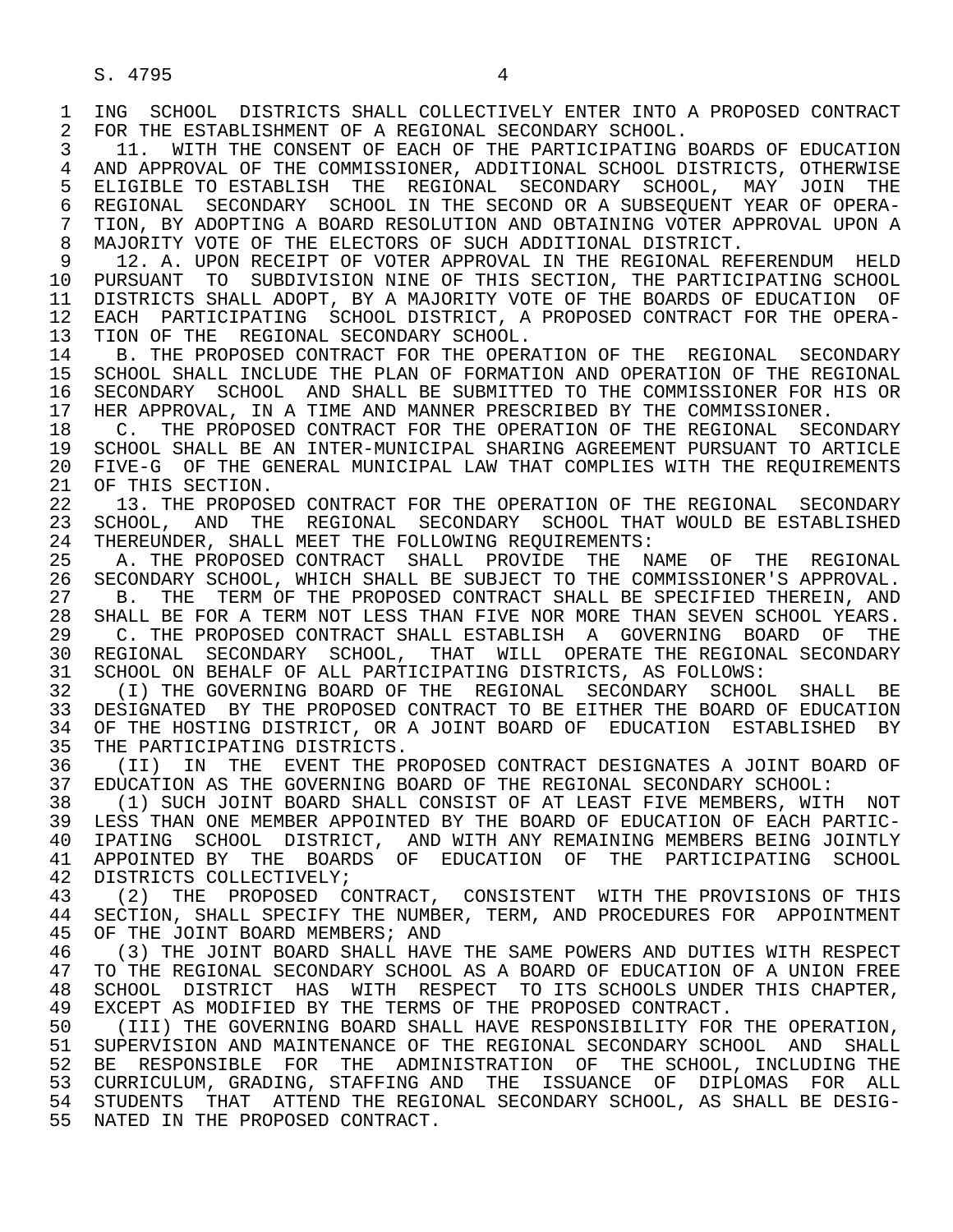1 ING SCHOOL DISTRICTS SHALL COLLECTIVELY ENTER INTO A PROPOSED CONTRACT<br>2 FOR THE ESTABLISHMENT OF A REGIONAL SECONDARY SCHOOL. 2 FOR THE ESTABLISHMENT OF A REGIONAL SECONDARY SCHOOL.<br>3 11. WITH THE CONSENT OF EACH OF THE PARTICIPATING I

 3 11. WITH THE CONSENT OF EACH OF THE PARTICIPATING BOARDS OF EDUCATION 4 AND APPROVAL OF THE COMMISSIONER, ADDITIONAL SCHOOL DISTRICTS, OTHERWISE<br>5 ELIGIBLE TO ESTABLISH THE REGIONAL SECONDARY SCHOOL, MAY JOIN THE 5 ELIGIBLE TO ESTABLISH THE REGIONAL SECONDARY SCHOOL, MAY JOIN THE 6 REGIONAL SECONDARY SCHOOL IN THE SECOND OR A SUBSEOUENT YEAR OF OPERA-6 REGIONAL SECONDARY SCHOOL IN THE SECOND OR A SUBSEQUENT YEAR OF OPERA-<br>7 TION, BY ADOPTING A BOARD RESOLUTION AND OBTAINING VOTER APPROVAL UPON A 7 TION, BY ADOPTING A BOARD RESOLUTION AND OBTAINING VOTER APPROVAL UPON A 7 NAJORITY VOTE OF THE ELECTORS OF SUCH ADDITIONAL DISTRICT 8 MAJORITY VOTE OF THE ELECTORS OF SUCH ADDITIONAL DISTRICT.<br>9 12. A. UPON RECEIPT OF VOTER APPROVAL IN THE REGIONAL RE

9 12. A. UPON RECEIPT OF VOTER APPROVAL IN THE REGIONAL REFERENDUM HELD<br>10 PURSUANT TO SUBDIVISION NINE OF THIS SECTION. THE PARTICIPATING SCHOOL 10 PURSUANT TO SUBDIVISION NINE OF THIS SECTION, THE PARTICIPATING SCHOOL<br>11 DISTRICTS SHALL ADOPT, BY A MAJORITY VOTE OF THE BOARDS OF EDUCATION OF 11 DISTRICTS SHALL ADOPT, BY A MAJORITY VOTE OF THE BOARDS OF EDUCATION OF<br>12 EACH PARTICIPATING SCHOOL DISTRICT, A PROPOSED CONTRACT FOR THE OPERA-12 EACH PARTICIPATING SCHOOL DISTRICT, A PROPOSED CONTRACT FOR THE OPERA-<br>13 TION OF THE REGIONAL SECONDARY SCHOOL. 13 TION OF THE REGIONAL SECONDARY SCHOOL.<br>14 B. THE PROPOSED CONTRACT FOR THE OPER

14 B. THE PROPOSED CONTRACT FOR THE OPERATION OF THE REGIONAL SECONDARY<br>15 SCHOOL SHALL INCLUDE THE PLAN OF FORMATION AND OPERATION OF THE REGIONAL 15 SCHOOL SHALL INCLUDE THE PLAN OF FORMATION AND OPERATION OF THE REGIONAL<br>16 SECONDARY SCHOOL AND SHALL BE SUBMITTED TO THE COMMISSIONER FOR HIS OR 16 SECONDARY SCHOOL AND SHALL BE SUBMITTED TO THE COMMISSIONER FOR HIS OR<br>17 HER APPROVAL, IN A TIME AND MANNER PRESCRIBED BY THE COMMISSIONER. 17 HER APPROVAL, IN A TIME AND MANNER PRESCRIBED BY THE COMMISSIONER.<br>18 C. THE PROPOSED CONTRACT FOR THE OPERATION OF THE REGIONAL SEC

18 C. THE PROPOSED CONTRACT FOR THE OPERATION OF THE REGIONAL SECONDARY<br>19 SCHOOL SHALL BE AN INTER-MUNICIPAL SHARING AGREEMENT PURSUANT TO ARTICLE 19 SCHOOL SHALL BE AN INTER-MUNICIPAL SHARING AGREEMENT PURSUANT TO ARTICLE<br>20 FIVE-G OF THE GENERAL MUNICIPAL LAW THAT COMPLIES WITH THE REOUIREMENTS 20 FIVE-G OF THE GENERAL MUNICIPAL LAW THAT COMPLIES WITH THE REQUIREMENTS 21 OF THIS SECTION. 21 OF THIS SECTION.<br>22 13. THE PROPOS

22 13. THE PROPOSED CONTRACT FOR THE OPERATION OF THE REGIONAL SECONDARY<br>23 SCHOOL, AND THE REGIONAL SECONDARY SCHOOL THAT WOULD BE ESTABLISHED 23 SCHOOL, AND THE REGIONAL SECONDARY SCHOOL THAT WOULD BE ESTABLISHED<br>24 THEREUNDER, SHALL MEET THE FOLLOWING REOUIREMENTS: 24 THEREUNDER, SHALL MEET THE FOLLOWING REQUIREMENTS:<br>25 - A. THE PROPOSED CONTRACT SHALL, PROVIDE THE NA

 25 A. THE PROPOSED CONTRACT SHALL PROVIDE THE NAME OF THE REGIONAL 26 SECONDARY SCHOOL, WHICH SHALL BE SUBJECT TO THE COMMISSIONER'S APPROVAL.<br>27 B. THE TERM OF THE PROPOSED CONTRACT SHALL BE SPECIFIED THEREIN. AND

27 B. THE TERM OF THE PROPOSED CONTRACT SHALL BE SPECIFIED THEREIN, AND 28 SHALL BE FOR A TERM NOT LESS THAN FIVE NOR MORE THAN SEVEN SCHOOL YEARS. 28 SHALL BE FOR A TERM NOT LESS THAN FIVE NOR MORE THAN SEVEN SCHOOL YEARS.<br>29 C. THE PROPOSED CONTRACT SHALL ESTABLISH A GOVERNING BOARD OF THE 29 C. THE PROPOSED CONTRACT SHALL ESTABLISH A GOVERNING BOARD OF THE 2009 C. THE SECONDARY SCHOOL. THAT WILL OPERATE THE REGIONAL SECONDARY 30 REGIONAL SECONDARY SCHOOL, THAT WILL OPERATE THE REGIONAL SECONDARY<br>31 SCHOOL ON BEHALF OF ALL PARTICIPATING DISTRICTS, AS FOLLOWS: 31 SCHOOL ON BEHALF OF ALL PARTICIPATING DISTRICTS, AS FOLLOWS:<br>32 (I) THE GOVERNING BOARD OF THE REGIONAL SECONDARY SCHOOL

32 (I) THE GOVERNING BOARD OF THE REGIONAL SECONDARY SCHOOL SHALL BE<br>33 DESIGNATED BY THE PROPOSED CONTRACT TO BE EITHER THE BOARD OF EDUCATION 33 DESIGNATED BY THE PROPOSED CONTRACT TO BE EITHER THE BOARD OF EDUCATION<br>34 OF THE HOSTING DISTRICT, OR A JOINT BOARD OF EDUCATION ESTABLISHED BY 34 OF THE HOSTING DISTRICT, OR A JOINT BOARD OF EDUCATION ESTABLISHED BY<br>35 THE PARTICIPATING DISTRICTS.

35 THE PARTICIPATING DISTRICTS.<br>36 (II) IN THE EVENT THE P 36 (II) IN THE EVENT THE PROPOSED CONTRACT DESIGNATES A JOINT BOARD OF 37 EDUCATION AS THE GOVERNING BOARD OF THE REGIONAL SECONDARY SCHOOL: 37 EDUCATION AS THE GOVERNING BOARD OF THE REGIONAL SECONDARY SCHOOL:<br>38 (1) SUCH JOINT BOARD SHALL CONSIST OF AT LEAST FIVE MEMBERS, WITH

38 (1) SUCH JOINT BOARD SHALL CONSIST OF AT LEAST FIVE MEMBERS, WITH NOT<br>39 LESS THAN ONE MEMBER APPOINTED BY THE BOARD OF EDUCATION OF EACH PARTIC-39 LESS THAN ONE MEMBER APPOINTED BY THE BOARD OF EDUCATION OF EACH PARTIC-<br>40 IPATING SCHOOL DISTRICT, AND WITH ANY REMAINING MEMBERS BEING JOINTLY 40 IPATING SCHOOL DISTRICT, AND WITH ANY REMAINING MEMBERS BEING JOINTLY<br>41 APPOINTED BY THE BOARDS OF EDUCATION OF THE PARTICIPATING SCHOOL 41 APPOINTED BY THE BOARDS OF EDUCATION OF THE PARTICIPATING SCHOOL 42 DISTRICTS COLLECTIVELY; 42 DISTRICTS COLLECTIVELY;<br>43 (2) THE PROPOSED C

43 (2) THE PROPOSED CONTRACT, CONSISTENT WITH THE PROVISIONS OF THIS<br>44 SECTION, SHALL SPECIFY THE NUMBER, TERM, AND PROCEDURES FOR APPOINTMENT 44 SECTION, SHALL SPECIFY THE NUMBER, TERM, AND PROCEDURES FOR APPOINTMENT<br>45 OF THE JOINT BOARD MEMBERS; AND OF THE JOINT BOARD MEMBERS; AND

46 (3) THE JOINT BOARD SHALL HAVE THE SAME POWERS AND DUTIES WITH RESPECT<br>47 TO THE REGIONAL SECONDARY SCHOOL AS A BOARD OF EDUCATION OF A UNION FREE 47 TO THE REGIONAL SECONDARY SCHOOL AS A BOARD OF EDUCATION OF A UNION FREE 48 SCHOOL DISTRICT HAS WITH RESPECT TO ITS SCHOOLS UNDER THIS CHAPTER. 48 SCHOOL DISTRICT HAS WITH RESPECT TO ITS SCHOOLS UNDER THIS CHAPTER,<br>49 EXCEPT AS MODIFIED BY THE TERMS OF THE PROPOSED CONTRACT. 49 EXCEPT AS MODIFIED BY THE TERMS OF THE PROPOSED CONTRACT.<br>50 (III) THE GOVERNING BOARD SHALL HAVE RESPONSIBILITY FOR

50 (III) THE GOVERNING BOARD SHALL HAVE RESPONSIBILITY FOR THE OPERATION,<br>51 SUPERVISION AND MAINTENANCE OF THE REGIONAL SECONDARY SCHOOL AND SHALL 51 SUPERVISION AND MAINTENANCE OF THE REGIONAL SECONDARY SCHOOL AND SHALL<br>52 BE RESPONSIBLE FOR THE ADMINISTRATION OF THE SCHOOL, INCLUDING THE BE RESPONSIBLE FOR THE ADMINISTRATION OF THE SCHOOL, INCLUDING THE 53 CURRICULUM, GRADING, STAFFING AND THE ISSUANCE OF DIPLOMAS FOR ALL<br>54 STUDENTS THAT ATTEND THE REGIONAL SECONDARY SCHOOL, AS SHALL BE DESIG- 54 STUDENTS THAT ATTEND THE REGIONAL SECONDARY SCHOOL, AS SHALL BE DESIG- 55 NATED IN THE PROPOSED CONTRACT.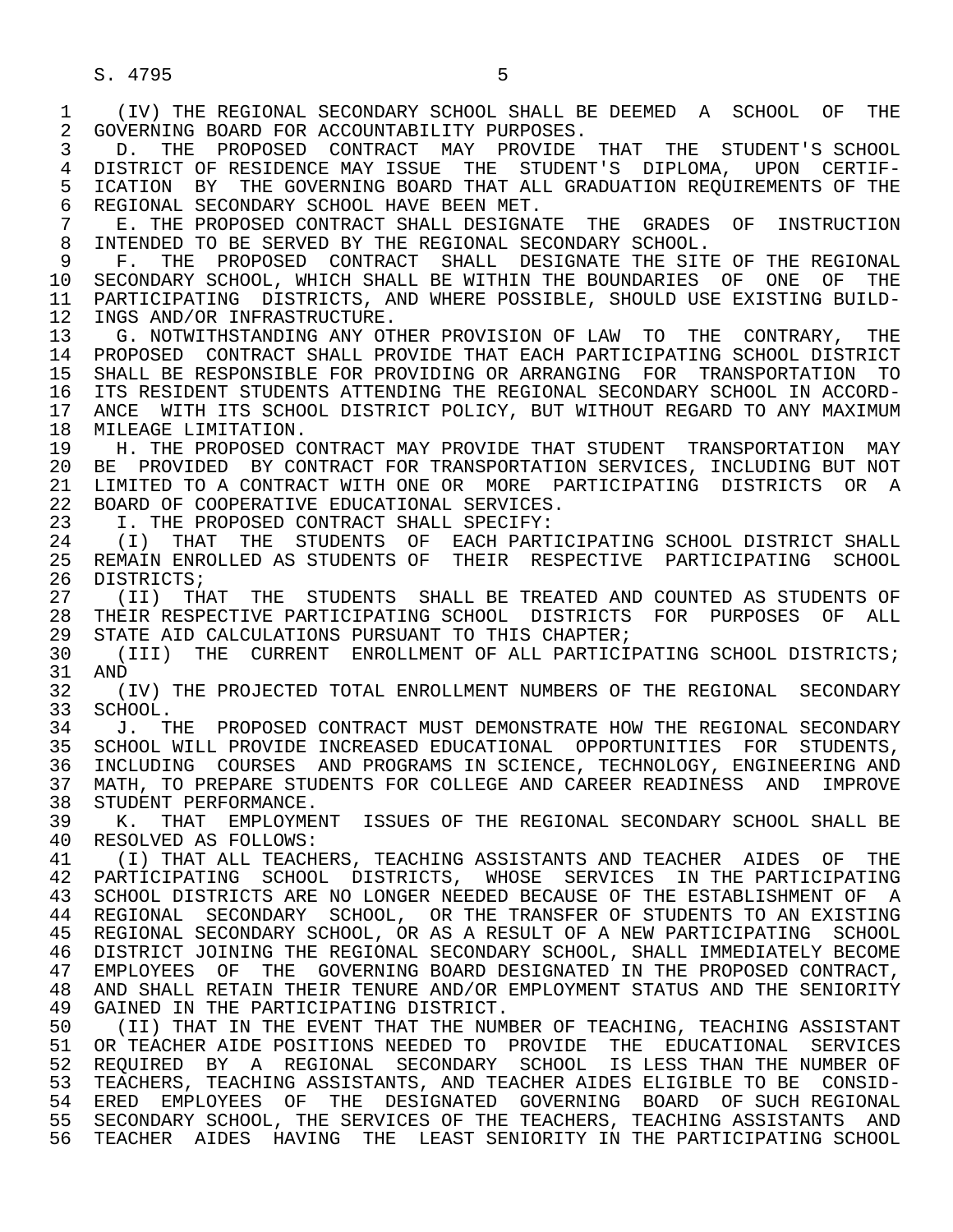S. 4795 5

 1 (IV) THE REGIONAL SECONDARY SCHOOL SHALL BE DEEMED A SCHOOL OF THE 2 GOVERNING BOARD FOR ACCOUNTABILITY PURPOSES.<br>3 D. THE PROPOSED CONTRACT MAY PROVIDE 3 D. THE PROPOSED CONTRACT MAY PROVIDE THAT THE STUDENT'S SCHOOL 4 DISTRICT OF RESIDENCE MAY ISSUE THE STUDENT'S DIPLOMA, UPON CERTIF-<br>5 ICATION BY THE GOVERNING BOARD THAT ALL GRADUATION REOUIREMENTS OF THE 5 ICATION BY THE GOVERNING BOARD THAT ALL GRADUATION REQUIREMENTS OF THE 6 REGIONAL SECONDARY SCHOOL HAVE BEEN MET. 6 REGIONAL SECONDARY SCHOOL HAVE BEEN MET.<br>7 E. THE PROPOSED CONTRACT SHALL DESIGNA 7 E. THE PROPOSED CONTRACT SHALL DESIGNATE THE GRADES OF INSTRUCTION<br>8 INTENDED TO BE SERVED BY THE REGIONAL SECONDARY SCHOOL. 8 INTENDED TO BE SERVED BY THE REGIONAL SECONDARY SCHOOL.<br>9 F. THE PROPOSED CONTRACT SHALL DESIGNATE THE SITE 9 F. THE PROPOSED CONTRACT SHALL DESIGNATE THE SITE OF THE REGIONAL 10 SECONDARY SCHOOL, WHICH SHALL BE WITHIN THE BOUNDARIES OF ONE OF THE 10 SECONDARY SCHOOL, WHICH SHALL BE WITHIN THE BOUNDARIES OF ONE OF THE<br>11 PARTICIPATING DISTRICTS, AND WHERE POSSIBLE, SHOULD USE EXISTING BUILD-11 PARTICIPATING DISTRICTS, AND WHERE POSSIBLE, SHOULD USE EXISTING BUILD-<br>12 INGS AND/OR INFRASTRUCTURE. 12 INGS AND/OR INFRASTRUCTURE.<br>13 G. NOTWITHSTANDING ANY OTI 13 G. NOTWITHSTANDING ANY OTHER PROVISION OF LAW TO THE CONTRARY, THE<br>14 PROPOSED CONTRACT SHALL PROVIDE THAT EACH PARTICIPATING SCHOOL DISTRICT 14 PROPOSED CONTRACT SHALL PROVIDE THAT EACH PARTICIPATING SCHOOL DISTRICT 15 SHALL BE RESPONSIBLE FOR PROVIDING OR ARRANGING FOR TRANSPORTATION TO<br>16 ITS RESIDENT STUDENTS ATTENDING THE REGIONAL SECONDARY SCHOOL IN ACCORD-16 ITS RESIDENT STUDENTS ATTENDING THE REGIONAL SECONDARY SCHOOL IN ACCORD-<br>17 ANCE WITH ITS SCHOOL DISTRICT POLICY, BUT WITHOUT REGARD TO ANY MAXIMUM 17 ANCE WITH ITS SCHOOL DISTRICT POLICY, BUT WITHOUT REGARD TO ANY MAXIMUM 18 MILEAGE LIMITATION. 18 MILEAGE LIMITATION.<br>19 H. THE PROPOSED C 19 H. THE PROPOSED CONTRACT MAY PROVIDE THAT STUDENT TRANSPORTATION MAY<br>20 BE PROVIDED BY CONTRACT FOR TRANSPORTATION SERVICES, INCLUDING BUT NOT 20 BE PROVIDED BY CONTRACT FOR TRANSPORTATION SERVICES, INCLUDING BUT NOT<br>21 LIMITED TO A CONTRACT WITH ONE OR MORE PARTICIPATING DISTRICTS OR A 21 LIMITED TO A CONTRACT WITH ONE OR MORE PARTICIPATING DISTRICTS OR A 22 BOARD OF COOPERATIVE EDUCATIONAL SERVICES. 22 BOARD OF COOPERATIVE EDUCATIONAL SERVICES.<br>23 T. THE PROPOSED CONTRACT SHALL SPECIFY: I. THE PROPOSED CONTRACT SHALL SPECIFY: 24 (I) THAT THE STUDENTS OF EACH-PARTICIPATING-SCHOOL-DISTRICT-SHALL<br>25 REMAIN-ENROLLED-AS-STUDENTS-OF THEIR RESPECTIVE PARTICIPATING-SCHOOL 25 REMAIN ENROLLED AS STUDENTS OF THEIR RESPECTIVE PARTICIPATING SCHOOL 26 DISTRICTS;<br>27 (II) TH. 27 (II) THAT THE STUDENTS SHALL BE TREATED AND COUNTED AS STUDENTS OF 28 THEIR RESPECTIVE PARTICIPATING SCHOOL DISTRICTS FOR PURPOSES OF ALL 28 THEIR RESPECTIVE PARTICIPATING SCHOOL DISTRICTS FOR PURPOSES OF ALL<br>29 STATE AID CALCULATIONS PURSUANT TO THIS CHAPTER; 29 STATE AID CALCULATIONS PURSUANT TO THIS CHAPTER;<br>30 (TTT) THE CURRENT ENROLLMENT OF ALL PARTICI 30 (III) THE CURRENT ENROLLMENT OF ALL PARTICIPATING SCHOOL DISTRICTS;<br>31 AND 31 AND<br>32 (1 32 (IV) THE PROJECTED TOTAL ENROLLMENT NUMBERS OF THE REGIONAL SECONDARY<br>33 SCHOOL. 33 SCHOOL.<br>34 J. TI 34 J. THE PROPOSED CONTRACT MUST DEMONSTRATE HOW THE REGIONAL SECONDARY<br>35 SCHOOL WILL PROVIDE INCREASED EDUCATIONAL OPPORTUNITIES FOR STUDENTS. 35 SCHOOL WILL PROVIDE INCREASED EDUCATIONAL OPPORTUNITIES FOR STUDENTS,<br>36 INCLUDING COURSES AND PROGRAMS IN SCIENCE, TECHNOLOGY, ENGINEERING AND INCLUDING COURSES AND PROGRAMS IN SCIENCE, TECHNOLOGY, ENGINEERING AND 37 MATH, TO PREPARE STUDENTS FOR COLLEGE AND CAREER READINESS AND IMPROVE<br>38 STUDENT PERFORMANCE. 38 STUDENT PERFORMANCE.<br>39 K. THAT EMPLOYMEE 39 K. THAT EMPLOYMENT ISSUES OF THE REGIONAL SECONDARY SCHOOL SHALL BE 40 RESOLVED AS FOLLOWS: 40 RESOLVED AS FOLLOWS:<br>41 (T) THAT ALL TEACHE 41 (I) THAT ALL TEACHERS, TEACHING ASSISTANTS AND TEACHER AIDES OF THE<br>42 PARTICIPATING SCHOOL DISTRICTS, WHOSE SERVICES IN THE PARTICIPATING 42 PARTICIPATING SCHOOL DISTRICTS, WHOSE SERVICES IN THE PARTICIPATING<br>43 SCHOOL DISTRICTS ARE NO LONGER NEEDED BECAUSE OF THE ESTABLISHMENT OF A 43 SCHOOL DISTRICTS ARE NO LONGER NEEDED BECAUSE OF THE ESTABLISHMENT OF A<br>44 REGIONAL SECONDARY SCHOOL, OR THE TRANSFER OF STUDENTS TO AN EXISTING 44 REGIONAL SECONDARY SCHOOL, OR THE TRANSFER OF STUDENTS TO AN EXISTING<br>45 REGIONAL SECONDARY SCHOOL, OR AS A RESULT OF A NEW PARTICIPATING SCHOOL 45 REGIONAL SECONDARY SCHOOL, OR AS A RESULT OF A NEW PARTICIPATING SCHOOL 46 DISTRICT JOINING THE REGIONAL SECONDARY SCHOOL, SHALL IMMEDIATELY BECOME<br>47 EMPLOYEES OF THE GOVERNING BOARD DESIGNATED IN THE PROPOSED CONTRACT. 47 EMPLOYEES OF THE GOVERNING BOARD DESIGNATED IN THE PROPOSED CONTRACT, 48 AND SHALL RETAIN THEIR TENURE AND/OR EMPLOYMENT STATUS AND THE SENIORITY 49 GAINED IN THE PARTICIPATING DISTRICT. 49 GAINED IN THE PARTICIPATING DISTRICT.<br>50 (II) THAT IN THE EVENT THAT THE NUMI 50 (II) THAT IN THE EVENT THAT THE NUMBER OF TEACHING, TEACHING ASSISTANT<br>51 OR TEACHER AIDE POSITIONS NEEDED TO PROVIDE THE EDUCATIONAL SERVICES 51 OR TEACHER AIDE POSITIONS NEEDED TO PROVIDE THE EDUCATIONAL SERVICES 52 REQUIRED BY A REGIONAL SECONDARY SCHOOL IS LESS THAN THE NUMBER OF<br>53 TEACHERS, TEACHING ASSISTANTS, AND TEACHER AIDES ELIGIBLE TO BE CONSID-TEACHERS, TEACHING ASSISTANTS, AND TEACHER AIDES ELIGIBLE TO BE CONSID-54 ERED EMPLOYEES OF THE DESIGNATED GOVERNING BOARD OF-SUCH-REGIONAL 55 SECONDARY SCHOOL, THE SERVICES OF THE TEACHERS, TEACHING ASSISTANTS AND 55 SECONDARY SCHOOL, THE SERVICES OF THE TEACHERS, TEACHING ASSISTANTS AND<br>56 TEACHER AIDES HAVING THE LEAST SENIORITY IN THE PARTICIPATING SCHOOL 56 TEACHER AIDES HAVING THE LEAST SENIORITY IN THE PARTICIPATING SCHOOL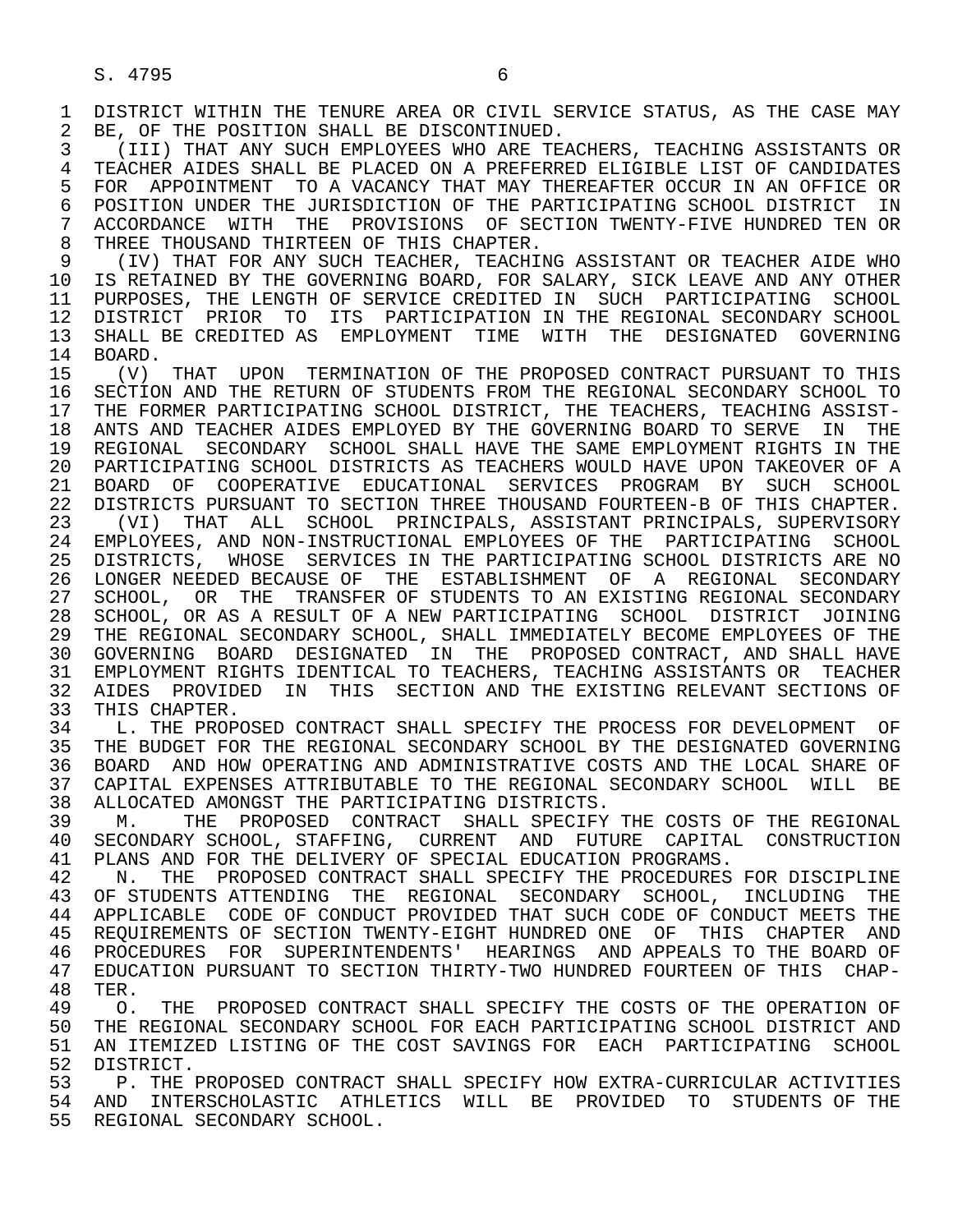1 DISTRICT WITHIN THE TENURE AREA OR CIVIL SERVICE STATUS, AS THE CASE MAY<br>2 BE. OF THE POSITION SHALL BE DISCONTINUED. 2 BE, OF THE POSITION SHALL BE DISCONTINUED.<br>3 (III) THAT ANY SUCH EMPLOYEES WHO ARE TE

3 (III) THAT ANY SUCH EMPLOYEES WHO ARE TEACHERS, TEACHING ASSISTANTS OR<br>4 TEACHER AIDES SHALL BE PLACED ON A PREFERRED ELIGIBLE LIST OF CANDIDATES 4 TEACHER AIDES SHALL BE PLACED ON A PREFERRED ELIGIBLE LIST OF CANDIDATES<br>5 FOR APPOINTMENT TO A VACANCY THAT MAY THEREAFTER OCCUR IN AN OFFICE OR 5 FOR APPOINTMENT TO A VACANCY THAT MAY THEREAFTER OCCUR IN AN OFFICE OR<br>6 POSITION UNDER THE JURISDICTION OF THE PARTICIPATING SCHOOL DISTRICT IN 6 POSITION UNDER THE JURISDICTION OF THE PARTICIPATING SCHOOL DISTRICT IN<br>7 ACCORDANCE WITH THE PROVISIONS OF SECTION TWENTY-FIVE HUNDRED TEN OR 7 ACCORDANCE WITH THE PROVISIONS OF SECTION TWENTY-FIVE HUNDRED TEN OR<br>8 THREE THOUSAND THIRTEEN OF THIS CHAPTER 8 THREE THOUSAND THIRTEEN OF THIS CHAPTER.<br>9 (IV) THAT FOR ANY SUCH TEACHER, TEACHI

9 (IV) THAT FOR ANY SUCH TEACHER, TEACHING ASSISTANT OR TEACHER AIDE WHO<br>10 IS RETAINED BY THE GOVERNING BOARD, FOR SALARY, SICK LEAVE AND ANY OTHER 10 IS RETAINED BY THE GOVERNING BOARD, FOR SALARY, SICK LEAVE AND ANY OTHER<br>11 PURPOSES, THE LENGTH OF SERVICE CREDITED IN SUCH PARTICIPATING SCHOOL 11 PURPOSES, THE LENGTH OF SERVICE CREDITED IN SUCH PARTICIPATING SCHOOL<br>12 DISTRICT PRIOR TO ITS PARTICIPATION IN THE REGIONAL SECONDARY SCHOOL 12 DISTRICT PRIOR TO ITS PARTICIPATION IN THE REGIONAL SECONDARY SCHOOL<br>13 SHALL BE CREDITED AS EMPLOYMENT TIME WITH THE DESIGNATED GOVERNING 13 SHALL BE CREDITED AS EMPLOYMENT TIME WITH THE DESIGNATED GOVERNING<br>14 BOARD 14 BOARD.

15 (V) THAT UPON TERMINATION OF THE PROPOSED CONTRACT PURSUANT TO THIS<br>16 SECTION AND THE RETURN OF STUDENTS FROM THE REGIONAL SECONDARY SCHOOL TO 16 SECTION AND THE RETURN OF STUDENTS FROM THE REGIONAL SECONDARY SCHOOL TO<br>17 THE FORMER PARTICIPATING SCHOOL DISTRICT, THE TEACHERS, TEACHING ASSIST-17 THE FORMER PARTICIPATING SCHOOL DISTRICT, THE TEACHERS, TEACHING ASSIST-<br>18 ANTS AND TEACHER AIDES EMPLOYED BY THE GOVERNING BOARD TO SERVE IN THE 18 ANTS AND TEACHER AIDES EMPLOYED BY THE GOVERNING BOARD TO SERVE IN THE 19 REGIONAL SECONDARY SCHOOL SHALL HAVE THE SAME EMPLOYMENT RIGHTS IN THE 19 REGIONAL SECONDARY SCHOOL SHALL HAVE THE SAME EMPLOYMENT RIGHTS IN THE<br>20 PARTICIPATING SCHOOL DISTRICTS AS TEACHERS WOULD HAVE UPON TAKEOVER OF A 20 PARTICIPATING SCHOOL DISTRICTS AS TEACHERS WOULD HAVE UPON TAKEOVER OF A<br>21 BOARD OF COOPERATIVE EDUCATIONAL SERVICES PROGRAM BY SUCH SCHOOL 21 BOARD OF COOPERATIVE EDUCATIONAL SERVICES PROGRAM BY SUCH SCHOOL<br>22 DISTRICTS PURSUANT TO SECTION THREE THOUSAND FOURTEEN-B OF THIS CHAPTER. 22 DISTRICTS PURSUANT TO SECTION THREE THOUSAND FOURTEEN-B OF THIS CHAPTER.<br>23 (VI) THAT ALL SCHOOL PRINCIPALS, ASSISTANT PRINCIPALS, SUPERVISORY 23 (VI) THAT ALL SCHOOL PRINCIPALS, ASSISTANT PRINCIPALS, SUPERVISORY<br>24 EMPLOYEES, AND NON-INSTRUCTIONAL EMPLOYEES OF THE PARTICIPATING SCHOOL 24 EMPLOYEES, AND NON-INSTRUCTIONAL EMPLOYEES OF THE PARTICIPATING SCHOOL<br>25 DISTRICTS, WHOSE SERVICES IN THE PARTICIPATING SCHOOL DISTRICTS ARE NO 25 DISTRICTS, WHOSE SERVICES IN THE PARTICIPATING SCHOOL DISTRICTS ARE NO 26 LONGER NEEDED BECAUSE OF THE ESTABLISHMENT OF A REGIONAL SECONDARY<br>27 SCHOOL, OR THE TRANSFER OF STUDENTS TO AN EXISTING REGIONAL SECONDARY 27 SCHOOL, OR THE TRANSFER OF STUDENTS TO AN EXISTING REGIONAL SECONDARY<br>28 SCHOOL, OR AS A RESULT OF A NEW PARTICIPATING SCHOOL DISTRICT JOINING 28 SCHOOL, OR AS A RESULT OF A NEW PARTICIPATING SCHOOL DISTRICT JOINING 29 THE REGIONAL SECONDARY SCHOOL, SHALL IMMEDIATELY BECOME EMPLOYEES OF THE 30 GOVERNING BOARD DESIGNATED IN THE PROPOSED CONTRACT, AND SHALL HAVE 31 EMPLOYMENT RIGHTS IDENTICAL TO TEACHERS, TEACHING ASSISTANTS OR TEACHER<br>32 AIDES PROVIDED IN THIS SECTION AND THE EXISTING RELEVANT SECTIONS OF 32 AIDES PROVIDED IN THIS SECTION AND THE EXISTING RELEVANT SECTIONS OF 33 THIS CHAPTER. 33 THIS CHAPTER.<br>34 L. THE PROP

34 L. THE PROPOSED CONTRACT SHALL SPECIFY THE PROCESS FOR DEVELOPMENT OF 35 THE BUDGET FOR THE REGIONAL SECONDARY SCHOOL BY THE DESIGNATED GOVERNING 35 THE BUDGET FOR THE REGIONAL SECONDARY SCHOOL BY THE DESIGNATED GOVERNING<br>36 BOARD AND HOW OPERATING AND ADMINISTRATIVE COSTS AND THE LOCAL SHARE OF 36 BOARD AND HOW OPERATING AND ADMINISTRATIVE COSTS AND THE LOCAL SHARE OF 37 CAPITAL EXPENSES ATTRIBUTABLE TO THE REGIONAL SECONDARY SCHOOL WILL BE<br>38 ALLOCATED AMONGST THE PARTICIPATING DISTRICTS. 38 ALLOCATED AMONGST THE PARTICIPATING DISTRICTS.<br>39 M. THE PROPOSED CONTRACT SHALL SPECIFY

39 M. THE PROPOSED CONTRACT SHALL SPECIFY THE COSTS OF THE REGIONAL 40 SECONDARY SCHOOL. STAFFING. CURRENT AND FUTURE CAPITAL CONSTRUCTION 40 SECONDARY SCHOOL, STAFFING, CURRENT AND FUTURE CAPITAL CONSTRUCTION<br>41 PLANS AND FOR THE DELIVERY OF SPECIAL EDUCATION PROGRAMS 41 PLANS AND FOR THE DELIVERY OF SPECIAL EDUCATION PROGRAMS.<br>42 N. THE PROPOSED CONTRACT SHALL SPECIFY THE PROCEDURES

42 N. THE PROPOSED CONTRACT SHALL SPECIFY THE PROCEDURES FOR DISCIPLINE<br>43 OF STUDENTS ATTENDING THE REGIONAL SECONDARY SCHOOL. INCLUDING THE 43 OF STUDENTS ATTENDING THE REGIONAL SECONDARY SCHOOL, INCLUDING THE 44 APPLICABLE CODE OF CONDUCT PROVIDED THAT SUCH CODE OF CONDUCT MEETS THE 44 APPLICABLE CODE OF CONDUCT PROVIDED THAT SUCH CODE OF CONDUCT MEETS THE 45 REOUIREMENTS OF SECTION TWENTY-EIGHT HUNDRED ONE OF THIS CHAPTER AND REQUIREMENTS OF SECTION TWENTY-EIGHT HUNDRED ONE OF THIS CHAPTER AND 46 PROCEDURES FOR SUPERINTENDENTS' HEARINGS AND APPEALS TO THE BOARD OF 47 FINICATION PURSUANT TO SECTION THIRTY-TWO HUNDRED FOURTERN OF THIS CHAP-47 EDUCATION PURSUANT TO SECTION THIRTY-TWO HUNDRED FOURTEEN OF THIS CHAP-<br>48 TER.

48 TER.<br>49 O. 49 O. THE PROPOSED CONTRACT SHALL SPECIFY THE COSTS OF THE OPERATION OF<br>50 THE REGIONAL SECONDARY SCHOOL FOR EACH PARTICIPATING SCHOOL DISTRICT AND 50 THE REGIONAL SECONDARY SCHOOL FOR EACH PARTICIPATING SCHOOL DISTRICT AND<br>51 AN ITEMIZED LISTING OF THE COST SAVINGS FOR EACH PARTICIPATING SCHOOL 51 AN ITEMIZED LISTING OF THE COST SAVINGS FOR EACH PARTICIPATING SCHOOL<br>52 DISTRICT. 52 DISTRICT.<br>53 P. THE I

53 P. THE PROPOSED CONTRACT SHALL SPECIFY HOW EXTRA-CURRICULAR ACTIVITIES<br>54 AND INTERSCHOLASTIC ATHLETICS WILL BE PROVIDED TO STUDENTS OF THE 54 AND INTERSCHOLASTIC ATHLETICS WILL BE PROVIDED TO STUDENTS OF THE 55 REGIONAL SECONDARY SCHOOL. REGIONAL SECONDARY SCHOOL.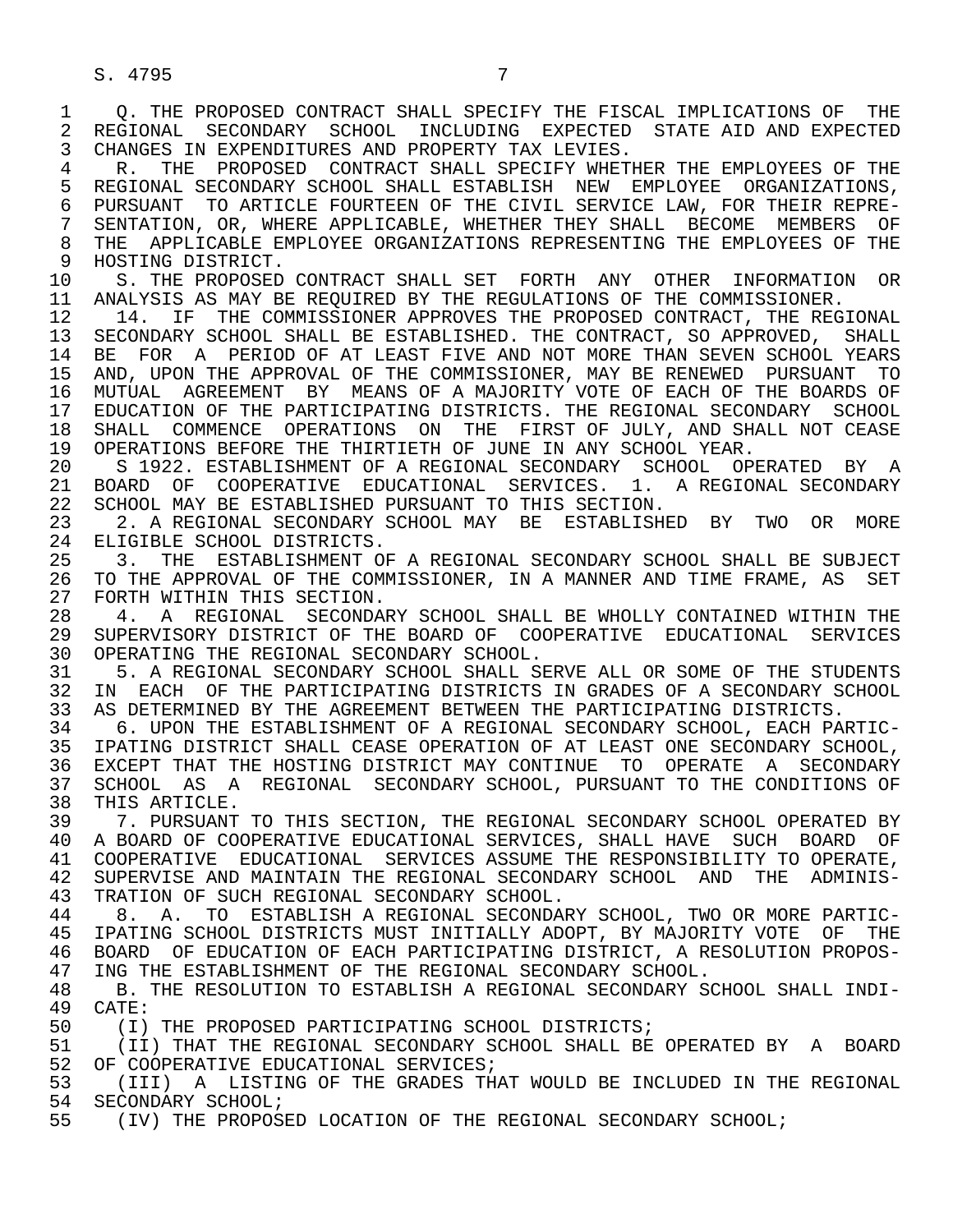S. 4795 7

1 Q. THE PROPOSED CONTRACT SHALL SPECIFY THE FISCAL IMPLICATIONS OF THE 2 REGIONAL SECONDARY SCHOOL INCLUDING EXPECTED STATE AID AND EXPECTED 2 REGIONAL SECONDARY SCHOOL INCLUDING EXPECTED STATE—AID AND EXPECTED<br>3 CHANGES IN EXPENDITURES AND PROPERTY TAX LEVIES. CHANGES IN EXPENDITURES AND PROPERTY TAX LEVIES.

4 R. THE PROPOSED CONTRACT SHALL SPECIFY WHETHER THE EMPLOYEES OF THE 5 REGIONAL SECONDARY SCHOOL SHALL ESTABLISH NEW EMPLOYEE ORGANIZATIONS, 5 REGIONAL SECONDARY SCHOOL SHALL ESTABLISH NEW EMPLOYEE ORGANIZATIONS,<br>6 PURSUANT TO ARTICLE FOURTEEN OF THE CIVIL SERVICE LAW, FOR THEIR REPRE-6 PURSUANT TO ARTICLE FOURTEEN OF THE CIVIL SERVICE LAW, FOR THEIR REPRE-<br>7 SENTATION, OR, WHERE APPLICABLE, WHETHER THEY SHALL BECOME MEMBERS OF 7 SENTATION, OR, WHERE APPLICABLE, WHETHER THEY SHALL BECOME MEMBERS OF 8 THE APPLICABLE EMPLOYEE ORGANIZATIONS REPRESENTING THE EMPLOYEES OF THE 9 HOSTING DISTRICT. 9 HOSTING DISTRICT.<br>10 S. THE PROPOSED

10 S. THE PROPOSED CONTRACT SHALL SET FORTH ANY OTHER INFORMATION OR<br>11 ANALYSIS AS MAY BE REOUIRED BY THE REGULATIONS OF THE COMMISSIONER. 11 ANALYSIS AS MAY BE REQUIRED BY THE REGULATIONS OF THE COMMISSIONER.<br>12 14. IF THE COMMISSIONER APPROVES THE PROPOSED CONTRACT, THE REGI

12 14. IF THE COMMISSIONER APPROVES THE PROPOSED CONTRACT, THE REGIONAL 13 SECONDARY SCHOOL SHALL BE ESTABLISHED. THE CONTRACT, SO APPROVED, SHALL 13 SECONDARY SCHOOL SHALL BE ESTABLISHED. THE CONTRACT, SO APPROVED, SHALL<br>14 BE FOR A PERIOD OF AT LEAST FIVE AND NOT MORE THAN SEVEN SCHOOL YEARS BE FOR A PERIOD OF AT LEAST FIVE AND NOT MORE THAN SEVEN SCHOOL YEARS 15 AND, UPON THE APPROVAL OF THE COMMISSIONER, MAY BE RENEWED PURSUANT TO<br>16 MUTUAL AGREEMENT BY MEANS OF A MAJORITY VOTE OF EACH OF THE BOARDS OF 16 MUTUAL AGREEMENT BY MEANS OF A MAJORITY VOTE OF EACH OF THE BOARDS OF<br>17 EDUCATION OF THE PARTICIPATING DISTRICTS. THE REGIONAL SECONDARY SCHOOL 17 EDUCATION OF THE PARTICIPATING DISTRICTS. THE REGIONAL SECONDARY SCHOOL<br>18 SHALL COMMENCE OPERATIONS ON THE FIRST OF JULY, AND SHALL NOT CEASE 18 SHALL COMMENCE OPERATIONS ON THE FIRST OF JULY, AND SHALL NOT CEASE<br>19 OPERATIONS BEFORE THE THIRTIETH OF JUNE IN ANY SCHOOL YEAR. 19 OPERATIONS BEFORE THE THIRTIETH OF JUNE IN ANY SCHOOL YEAR.<br>20 S 1922, ESTABLISHMENT OF A REGIONAL SECONDARY SCHOOL OP

20 S 1922. ESTABLISHMENT OF A REGIONAL SECONDARY SCHOOL OPERATED BY A<br>21 BOARD OF COOPERATIVE EDUCATIONAL SERVICES. 1. A REGIONAL SECONDARY 21 BOARD OF COOPERATIVE EDUCATIONAL SERVICES. 1. A REGIONAL SECONDARY<br>22 SCHOOL MAY BE ESTABLISHED PURSUANT TO THIS SECTION. 22 SCHOOL MAY BE ESTABLISHED PURSUANT TO THIS SECTION.<br>23 2. A REGIONAL SECONDARY SCHOOL MAY BE ESTABLISH

 23 2. A REGIONAL SECONDARY SCHOOL MAY BE ESTABLISHED BY TWO OR MORE 24 ELIGIBLE SCHOOL DISTRICTS.<br>25 3. THE ESTABLISHMENT OI

 25 3. THE ESTABLISHMENT OF A REGIONAL SECONDARY SCHOOL SHALL BE SUBJECT 26 TO THE APPROVAL OF THE COMMISSIONER, IN A MANNER AND TIME FRAME, AS SET<br>27 FORTH WITHIN THIS SECTION. 27 FORTH WITHIN THIS SECTION.<br>28 4. A REGIONAL SECONDA

28 4. A REGIONAL SECONDARY SCHOOL SHALL BE WHOLLY CONTAINED WITHIN THE 29 SUPERVISORY DISTRICT OF THE BOARD OF COOPERATIVE EDUCATIONAL SERVICES 29 SUPERVISORY DISTRICT OF THE BOARD OF COOPERATIVE EDUCATIONAL SERVICES<br>30 OPERATING THE REGIONAL SECONDARY SCHOOL. 30 OPERATING THE REGIONAL SECONDARY SCHOOL.<br>31 5. A REGIONAL SECONDARY SCHOOL SHALL S

31 5. A REGIONAL SECONDARY SCHOOL SHALL SERVE ALL OR SOME OF THE STUDENTS<br>32 IN EACH OF THE PARTICIPATING DISTRICTS IN GRADES OF A SECONDARY SCHOOL 32 IN EACH OF THE PARTICIPATING DISTRICTS IN GRADES OF A SECONDARY SCHOOL<br>33 AS DETERMINED BY THE AGREEMENT BETWEEN THE PARTICIPATING DISTRICTS. 33 AS DETERMINED BY THE AGREEMENT BETWEEN THE PARTICIPATING DISTRICTS.<br>34 6. UPON THE ESTABLISHMENT OF A REGIONAL SECONDARY SCHOOL, EACH PA

34 6. UPON THE ESTABLISHMENT OF A REGIONAL SECONDARY SCHOOL, EACH PARTIC-<br>35 IPATING DISTRICT SHALL CEASE OPERATION OF AT LEAST ONE SECONDARY SCHOOL. 35 IPATING DISTRICT SHALL CEASE OPERATION OF AT LEAST ONE SECONDARY SCHOOL,<br>36 EXCEPT THAT THE HOSTING DISTRICT MAY CONTINUE TO OPERATE A SECONDARY 36 EXCEPT THAT THE HOSTING DISTRICT MAY CONTINUE TO OPERATE A SECONDARY 37 SCHOOL AS A REGIONAL SECONDARY SCHOOL, PURSUANT TO THE CONDITIONS OF 38 THIS ARTICLE.<br>39 7. PURSUANT

39 39 7. PURSUANT TO THIS SECTION, THE REGIONAL SECONDARY SCHOOL OPERATED BY<br>30 A BOARD OF COOPERATIVE EDUCATIONAL SERVICES, SHALL HAVE SUCH BOARD OF 40 A BOARD OF COOPERATIVE EDUCATIONAL SERVICES, SHALL HAVE SUCH BOARD OF COOPERATIVE EDUCATIONAL SERVICES ASSUME THE RESPONSIBILITY TO OPERATE. 41 COOPERATIVE EDUCATIONAL SERVICES ASSUME THE RESPONSIBILITY TO OPERATE,<br>42 SUPERVISE AND MAINTAIN THE REGIONAL SECONDARY SCHOOL AND THE ADMINIS-42 SUPERVISE AND MAINTAIN THE REGIONAL SECONDARY SCHOOL AND THE ADMINIS-<br>43 TRATION OF SUCH REGIONAL SECONDARY SCHOOL. 43 TRATION OF SUCH REGIONAL SECONDARY SCHOOL.

44 8. A. TO ESTABLISH A REGIONAL SECONDARY SCHOOL, TWO OR MORE PARTIC-<br>45 IPATING SCHOOL DISTRICTS MUST INITIALLY ADOPT, BY MAJORITY VOTE OF THE 45 IPATING SCHOOL DISTRICTS MUST INITIALLY ADOPT, BY MAJORITY VOTE OF THE 46 BOARD OF EDUCATION OF EACH PARTICIPATING DISTRICT, A RESOLUTION PROPOS-<br>47 ING THE ESTABLISHMENT OF THE REGIONAL SECONDARY SCHOOL. 47 ING THE ESTABLISHMENT OF THE REGIONAL SECONDARY SCHOOL.<br>48 B. THE RESOLUTION TO ESTABLISH A REGIONAL SECONDARY S

48 B. THE RESOLUTION TO ESTABLISH A REGIONAL SECONDARY SCHOOL SHALL INDI-49 CATE: 49 CATE:<br>50 (I)

50 (I) THE PROPOSED PARTICIPATING SCHOOL DISTRICTS;<br>51 (II) THAT THE REGIONAL SECONDARY SCHOOL SHALL BE

51 (II) THAT THE REGIONAL SECONDARY SCHOOL SHALL BE OPERATED BY A BOARD<br>52 OF COOPERATIVE EDUCATIONAL SERVICES; 52 OF COOPERATIVE EDUCATIONAL SERVICES;<br>53 (III) A LISTING OF THE GRADES THE

53 (III) A LISTING OF THE GRADES THAT WOULD BE INCLUDED IN THE REGIONAL 54 SECONDARY SCHOOL; 54 SECONDARY SCHOOL;<br>55 (IV) THE PROPOS!

(IV) THE PROPOSED LOCATION OF THE REGIONAL SECONDARY SCHOOL;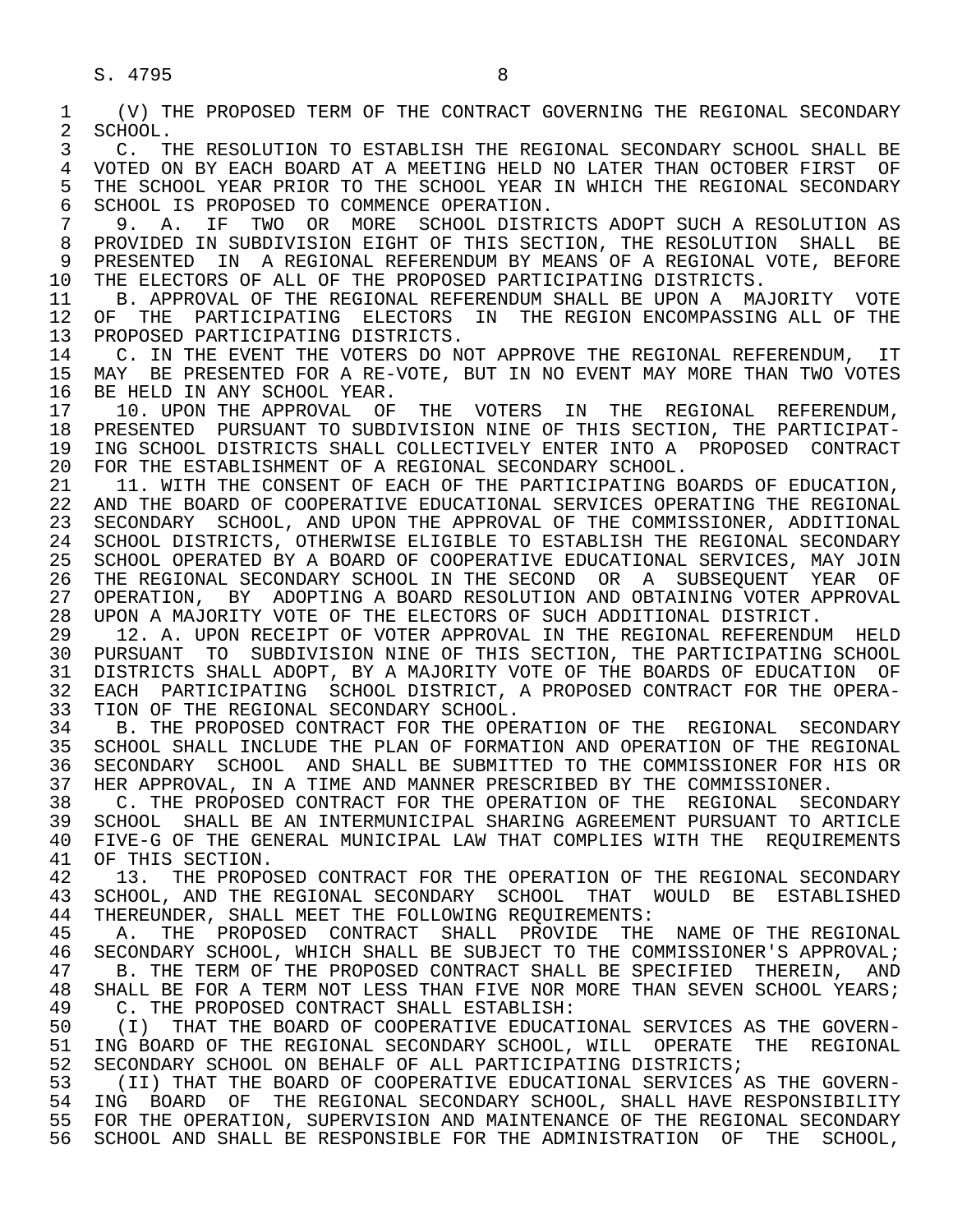| 1        | (V) THE PROPOSED TERM OF THE CONTRACT GOVERNING THE REGIONAL SECONDARY                                                                            |
|----------|---------------------------------------------------------------------------------------------------------------------------------------------------|
| 2        | SCHOOL.                                                                                                                                           |
| 3        | $C_{\bullet}$<br>THE RESOLUTION TO ESTABLISH THE REGIONAL SECONDARY SCHOOL SHALL BE                                                               |
| 4        | VOTED ON BY EACH BOARD AT A MEETING HELD NO LATER THAN OCTOBER FIRST<br>OF                                                                        |
| 5        | THE SCHOOL YEAR PRIOR TO THE SCHOOL YEAR IN WHICH THE REGIONAL SECONDARY                                                                          |
| 6        | SCHOOL IS PROPOSED TO COMMENCE OPERATION.                                                                                                         |
| 7        | SCHOOL DISTRICTS ADOPT SUCH A RESOLUTION AS<br>IF<br>TWO OR MORE<br>9.<br>Α.                                                                      |
| 8        | PROVIDED IN SUBDIVISION EIGHT OF THIS SECTION, THE RESOLUTION SHALL<br>BE                                                                         |
| 9        | IN A REGIONAL REFERENDUM BY MEANS OF A REGIONAL VOTE, BEFORE<br>PRESENTED                                                                         |
| 10       | THE ELECTORS OF ALL OF THE PROPOSED PARTICIPATING DISTRICTS.                                                                                      |
| 11       | B. APPROVAL OF THE REGIONAL REFERENDUM SHALL BE UPON A MAJORITY VOTE                                                                              |
| 12       | PARTICIPATING ELECTORS IN THE REGION ENCOMPASSING ALL OF THE<br>OF<br>THE                                                                         |
| 13       | PROPOSED PARTICIPATING DISTRICTS.                                                                                                                 |
| 14       | C. IN THE EVENT THE VOTERS DO NOT APPROVE THE REGIONAL REFERENDUM, IT                                                                             |
| 15<br>16 | BE PRESENTED FOR A RE-VOTE, BUT IN NO EVENT MAY MORE THAN TWO VOTES<br>MAY<br>BE HELD IN ANY SCHOOL YEAR.                                         |
| 17       | 10. UPON THE APPROVAL OF<br>THE VOTERS IN<br>THE REGIONAL REFERENDUM,                                                                             |
| 18       | PRESENTED PURSUANT TO SUBDIVISION NINE OF THIS SECTION, THE PARTICIPAT-                                                                           |
| 19       | ING SCHOOL DISTRICTS SHALL COLLECTIVELY ENTER INTO A PROPOSED CONTRACT                                                                            |
| 20       | FOR THE ESTABLISHMENT OF A REGIONAL SECONDARY SCHOOL.                                                                                             |
| 21       | 11. WITH THE CONSENT OF EACH OF THE PARTICIPATING BOARDS OF EDUCATION,                                                                            |
| 22       | AND THE BOARD OF COOPERATIVE EDUCATIONAL SERVICES OPERATING THE REGIONAL                                                                          |
| 23       | SECONDARY SCHOOL, AND UPON THE APPROVAL OF THE COMMISSIONER, ADDITIONAL                                                                           |
| 24       | SCHOOL DISTRICTS, OTHERWISE ELIGIBLE TO ESTABLISH THE REGIONAL SECONDARY                                                                          |
| 25       | SCHOOL OPERATED BY A BOARD OF COOPERATIVE EDUCATIONAL SERVICES, MAY JOIN                                                                          |
| 26       | THE REGIONAL SECONDARY SCHOOL IN THE SECOND OR A SUBSEQUENT YEAR OF                                                                               |
| 27       | OPERATION, BY ADOPTING A BOARD RESOLUTION AND OBTAINING VOTER APPROVAL                                                                            |
| 28       | UPON A MAJORITY VOTE OF THE ELECTORS OF SUCH ADDITIONAL DISTRICT.                                                                                 |
| 29       | 12. A. UPON RECEIPT OF VOTER APPROVAL IN THE REGIONAL REFERENDUM HELD                                                                             |
| 30       | SUBDIVISION NINE OF THIS SECTION, THE PARTICIPATING SCHOOL<br>TO<br>PURSUANT                                                                      |
| 31       | DISTRICTS SHALL ADOPT, BY A MAJORITY VOTE OF THE BOARDS OF EDUCATION OF                                                                           |
| 32       | EACH PARTICIPATING SCHOOL DISTRICT, A PROPOSED CONTRACT FOR THE OPERA-                                                                            |
| 33       | TION OF THE REGIONAL SECONDARY SCHOOL.                                                                                                            |
| 34       | B. THE PROPOSED CONTRACT FOR THE OPERATION OF THE REGIONAL SECONDARY<br>SCHOOL SHALL INCLUDE THE PLAN OF FORMATION AND OPERATION OF THE REGIONAL  |
| 35<br>36 | SCHOOL AND SHALL BE SUBMITTED TO THE COMMISSIONER FOR HIS OR<br>SECONDARY                                                                         |
| 37       | HER APPROVAL, IN A TIME AND MANNER PRESCRIBED BY THE COMMISSIONER.                                                                                |
| 38       | C. THE PROPOSED CONTRACT FOR THE OPERATION OF THE REGIONAL SECONDARY                                                                              |
| 39       | SCHOOL SHALL BE AN INTERMUNICIPAL SHARING AGREEMENT PURSUANT TO ARTICLE                                                                           |
| 40       | FIVE-G OF THE GENERAL MUNICIPAL LAW THAT COMPLIES WITH THE REQUIREMENTS                                                                           |
| 41       | OF THIS SECTION.                                                                                                                                  |
| 42       | 13.<br>THE PROPOSED CONTRACT FOR THE OPERATION OF THE REGIONAL SECONDARY                                                                          |
| 43       | SCHOOL, AND THE REGIONAL SECONDARY SCHOOL THAT WOULD BE<br>ESTABLISHED                                                                            |
| 44       | THEREUNDER, SHALL MEET THE FOLLOWING REQUIREMENTS:                                                                                                |
| 45       | THE PROPOSED CONTRACT SHALL PROVIDE THE NAME OF THE REGIONAL<br>Α.                                                                                |
| 46       | SECONDARY SCHOOL, WHICH SHALL BE SUBJECT TO THE COMMISSIONER'S APPROVAL;                                                                          |
| 47       | B. THE TERM OF THE PROPOSED CONTRACT SHALL BE SPECIFIED THEREIN, AND                                                                              |
| 48       | SHALL BE FOR A TERM NOT LESS THAN FIVE NOR MORE THAN SEVEN SCHOOL YEARS;                                                                          |
| 49       | C. THE PROPOSED CONTRACT SHALL ESTABLISH:                                                                                                         |
| 50       | THAT THE BOARD OF COOPERATIVE EDUCATIONAL SERVICES AS THE GOVERN-<br>( I )                                                                        |
| 51       | ING BOARD OF THE REGIONAL SECONDARY SCHOOL, WILL OPERATE THE<br>REGIONAL                                                                          |
| 52       | SECONDARY SCHOOL ON BEHALF OF ALL PARTICIPATING DISTRICTS;                                                                                        |
| 53       | (II) THAT THE BOARD OF COOPERATIVE EDUCATIONAL SERVICES AS THE GOVERN-                                                                            |
| 54       | OF THE REGIONAL SECONDARY SCHOOL, SHALL HAVE RESPONSIBILITY<br>ING BOARD                                                                          |
| 55<br>56 | FOR THE OPERATION, SUPERVISION AND MAINTENANCE OF THE REGIONAL SECONDARY<br>SCHOOL AND SHALL BE RESPONSIBLE FOR THE ADMINISTRATION OF THE SCHOOL, |
|          |                                                                                                                                                   |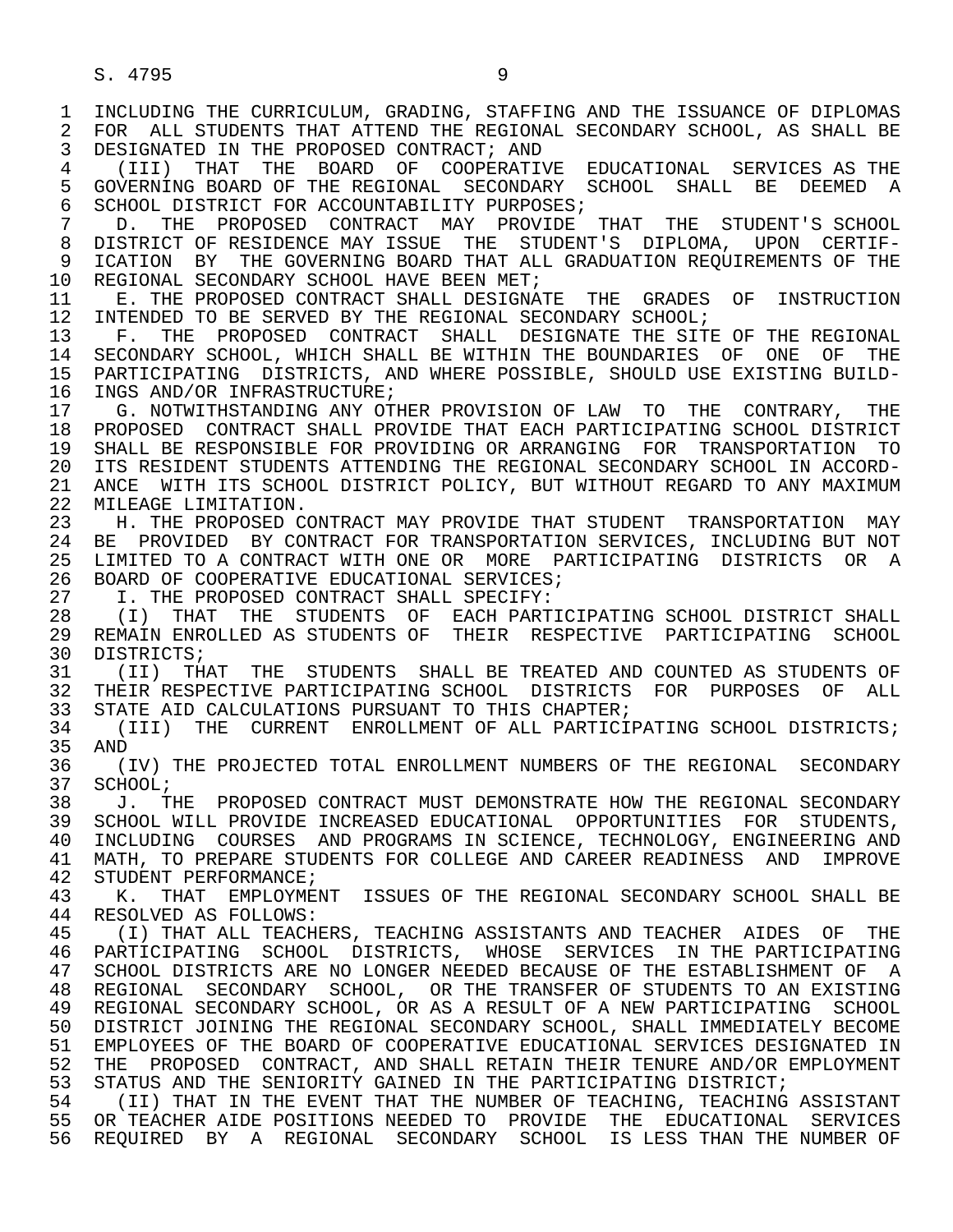1 INCLUDING THE CURRICULUM, GRADING, STAFFING AND THE ISSUANCE OF DIPLOMAS<br>2 FOR ALL STUDENTS THAT ATTEND THE REGIONAL SECONDARY SCHOOL, AS SHALL BE 2 FOR ALL STUDENTS THAT ATTEND THE REGIONAL SECONDARY SCHOOL, AS SHALL BE<br>3 DESIGNATED IN THE PROPOSED CONTRACT; AND DESIGNATED IN THE PROPOSED CONTRACT; AND

 4 (III) THAT THE BOARD OF COOPERATIVE EDUCATIONAL SERVICES AS THE 5 GOVERNING BOARD OF THE REGIONAL SECONDARY SCHOOL SHALL BE DEEMED A<br>6 SCHOOL DISTRICT FOR ACCOUNTABILITY PURPOSES; 6 SCHOOL DISTRICT FOR ACCOUNTABILITY PURPOSES;<br>7 D. THE PROPOSED CONTRACT MAY PROVIDE

7 D. THE PROPOSED CONTRACT MAY PROVIDE THAT THE STUDENT'S SCHOOL 7 DISTRIT OF RESIDENCE MAY ISSUE THE STUDENT'S DIPLOMA. UPON CERTIF-8 DISTRICT OF RESIDENCE MAY ISSUE THE STUDENT'S DIPLOMA, UPON CERTIF-<br>9 ICATION BY THE GOVERNING BOARD THAT ALL GRADUATION REOUIREMENTS OF THE 9 ICATION BY THE GOVERNING BOARD THAT ALL GRADUATION REQUIREMENTS OF THE 10 REGIONAL SECONDARY SCHOOL HAVE BEEN MET; 10 REGIONAL SECONDARY SCHOOL HAVE BEEN MET;<br>11 E. THE PROPOSED CONTRACT SHALL DESIGNAY

11 E. THE PROPOSED CONTRACT SHALL DESIGNATE THE GRADES OF INSTRUCTION<br>12 INTENDED TO BE SERVED BY THE REGIONAL SECONDARY SCHOOL; 12 INTENDED TO BE SERVED BY THE REGIONAL SECONDARY SCHOOL;<br>13 F. THE PROPOSED CONTRACT SHALL DESIGNATE THE SIT

13 F. THE PROPOSED CONTRACT SHALL DESIGNATE THE SITE OF THE REGIONAL 14 SECONDARY SCHOOL. WHICH SHALL BE WITHIN THE BOUNDARIES OF ONE OF THE SECONDARY SCHOOL, WHICH SHALL BE WITHIN THE BOUNDARIES OF ONE OF THE 15 PARTICIPATING DISTRICTS, AND WHERE POSSIBLE, SHOULD USE EXISTING BUILD-<br>16 INGS AND/OR INFRASTRUCTURE; 16 INGS AND/OR INFRASTRUCTURE;<br>17 G. NOTWITHSTANDING ANY OT

17 G. NOTWITHSTANDING ANY OTHER PROVISION OF LAW TO THE CONTRARY, THE<br>18 PROPOSED CONTRACT SHALL PROVIDE THAT EACH PARTICIPATING SCHOOL DISTRICT 18 PROPOSED CONTRACT SHALL PROVIDE THAT EACH PARTICIPATING SCHOOL DISTRICT<br>19 SHALL BE RESPONSIBLE FOR PROVIDING OR ARRANGING FOR TRANSPORTATION TO 19 SHALL BE RESPONSIBLE FOR PROVIDING OR ARRANGING FOR TRANSPORTATION TO<br>20 ITS RESIDENT STUDENTS ATTENDING THE REGIONAL SECONDARY SCHOOL IN ACCORD-20 ITS RESIDENT STUDENTS ATTENDING THE REGIONAL SECONDARY SCHOOL IN ACCORD-<br>21 ANCE WITH ITS SCHOOL DISTRICT POLICY, BUT WITHOUT REGARD TO ANY MAXIMUM 21 ANCE WITH ITS SCHOOL DISTRICT POLICY, BUT WITHOUT REGARD TO ANY MAXIMUM 22 MILEAGE LIMITATION. 22 MILEAGE LIMITATION.<br>23 H. THE PROPOSED C

 23 H. THE PROPOSED CONTRACT MAY PROVIDE THAT STUDENT TRANSPORTATION MAY 24 BE PROVIDED BY CONTRACT FOR TRANSPORTATION SERVICES, INCLUDING BUT NOT<br>25 LIMITED TO A CONTRACT WITH ONE OR MORE PARTICIPATING DISTRICTS OR A 25 LIMITED TO A CONTRACT WITH ONE OR MORE PARTICIPATING DISTRICTS OR A 26 BOARD OF COOPERATIVE EDUCATIONAL SERVICES;<br>27 T. THE PROPOSED CONTRACT SHALL SPECIFY:

27 I. THE PROPOSED CONTRACT SHALL SPECIFY:<br>28 (I) THAT THE STUDENTS OF EACH PART

28 (I) THAT THE STUDENTS OF EACH-PARTICIPATING SCHOOL DISTRICT SHALL<br>29 REMAIN ENROLLED AS STUDENTS OF THEIR RESPECTIVE PARTICIPATING SCHOOL 29 REMAIN ENROLLED AS STUDENTS OF THEIR RESPECTIVE PARTICIPATING SCHOOL<br>30 DISTRICTS: 30 DISTRICTS;<br>31 (II) TH;

31 (II) THAT THE STUDENTS SHALL BE TREATED AND COUNTED AS STUDENTS OF <br>32 THEIR RESPECTIVE PARTICIPATING SCHOOL DISTRICTS FOR PURPOSES OF ALL 32 THEIR RESPECTIVE PARTICIPATING SCHOOL DISTRICTS FOR PURPOSES OF ALL<br>33 STATE AID CALCULATIONS PURSUANT TO THIS CHAPTER; 33 STATE AID CALCULATIONS PURSUANT TO THIS CHAPTER;<br>34 (III) THE CURRENT ENROLLMENT OF ALL PARTICI

34 (III) THE CURRENT ENROLLMENT OF ALL PARTICIPATING SCHOOL DISTRICTS;<br>35 AND 35 AND<br>36 ()

36 (IV) THE PROJECTED TOTAL ENROLLMENT NUMBERS OF THE REGIONAL SECONDARY<br>37 SCHOOL; 37 SCHOOL;<br>38 J. TH

38 J. THE PROPOSED CONTRACT MUST DEMONSTRATE HOW THE REGIONAL SECONDARY<br>39 SCHOOL WILL PROVIDE INCREASED EDUCATIONAL OPPORTUNITIES FOR STUDENTS. 39 SCHOOL WILL PROVIDE INCREASED EDUCATIONAL OPPORTUNITIES FOR STUDENTS,<br>40 INCLUDING COURSES AND PROGRAMS IN SCIENCE, TECHNOLOGY, ENGINEERING AND 40 INCLUDING COURSES AND PROGRAMS IN SCIENCE, TECHNOLOGY, ENGINEERING AND THEROVE<br>41 MATH, TO PREPARE STUDENTS FOR COLLEGE AND CAREER READINESS, AND IMPROVE 41 MATH, TO PREPARE STUDENTS FOR COLLEGE AND CAREER READINESS AND IMPROVE 42 STUDENT PERFORMANCE; 42 STUDENT PERFORMANCE;<br>43 K. THAT EMPLOYMEI

43 K. THAT EMPLOYMENT ISSUES OF THE REGIONAL SECONDARY SCHOOL SHALL BE 44 RESOLVED AS FOLLOWS: 44 RESOLVED AS FOLLOWS:<br>45 (I) THAT ALL TEACH

 45 (I) THAT ALL TEACHERS, TEACHING ASSISTANTS AND TEACHER AIDES OF THE 46 PARTICIPATING SCHOOL DISTRICTS, WHOSE SERVICES IN THE PARTICIPATING<br>47 SCHOOL DISTRICTS ARE NO LONGER NEEDED BECAUSE OF THE ESTABLISHMENT OF A 47 SCHOOL DISTRICTS ARE NO LONGER NEEDED BECAUSE OF THE ESTABLISHMENT OF A<br>48 REGIONAL SECONDARY SCHOOL, OR THE TRANSFER OF STUDENTS TO AN EXISTING 48 REGIONAL SECONDARY SCHOOL, OR THE TRANSFER OF STUDENTS TO AN EXISTING<br>49 REGIONAL SECONDARY SCHOOL, OR AS A RESULT OF A NEW PARTICIPATING SCHOOL 49 REGIONAL SECONDARY SCHOOL, OR AS A RESULT OF A NEW PARTICIPATING SCHOOL<br>50 DISTRICT JOINING THE REGIONAL SECONDARY SCHOOL, SHALL IMMEDIATELY BECOME 50 DISTRICT JOINING THE REGIONAL SECONDARY SCHOOL, SHALL IMMEDIATELY BECOME<br>51 EMPLOYEES OF THE BOARD OF COOPERATIVE EDUCATIONAL SERVICES DESIGNATED IN 51 EMPLOYEES OF THE BOARD OF COOPERATIVE EDUCATIONAL SERVICES DESIGNATED IN<br>52 THE PROPOSED CONTRACT, AND SHALL RETAIN THEIR TENURE AND/OR EMPLOYMENT 52 THE PROPOSED CONTRACT, AND SHALL RETAIN THEIR TENURE AND/OR EMPLOYMENT<br>53 STATUS AND THE SENIORITY GAINED IN THE PARTICIPATING DISTRICT; 53 STATUS AND THE SENIORITY GAINED IN THE PARTICIPATING DISTRICT;<br>54 (II) THAT IN THE EVENT THAT THE NUMBER OF TEACHING, TEACHING

54 (II) THAT IN THE EVENT THAT THE NUMBER OF TEACHING, TEACHING ASSISTANT<br>55 OR TEACHER AIDE POSITIONS NEEDED TO PROVIDE THE EDUCATIONAL SERVICES 55 OR TEACHER AIDE POSITIONS NEEDED TO PROVIDE THE EDUCATIONAL SERVICES<br>56 REOUIRED BY A REGIONAL SECONDARY SCHOOL IS LESS THAN THE NUMBER OF REQUIRED BY A REGIONAL SECONDARY SCHOOL IS LESS THAN THE NUMBER OF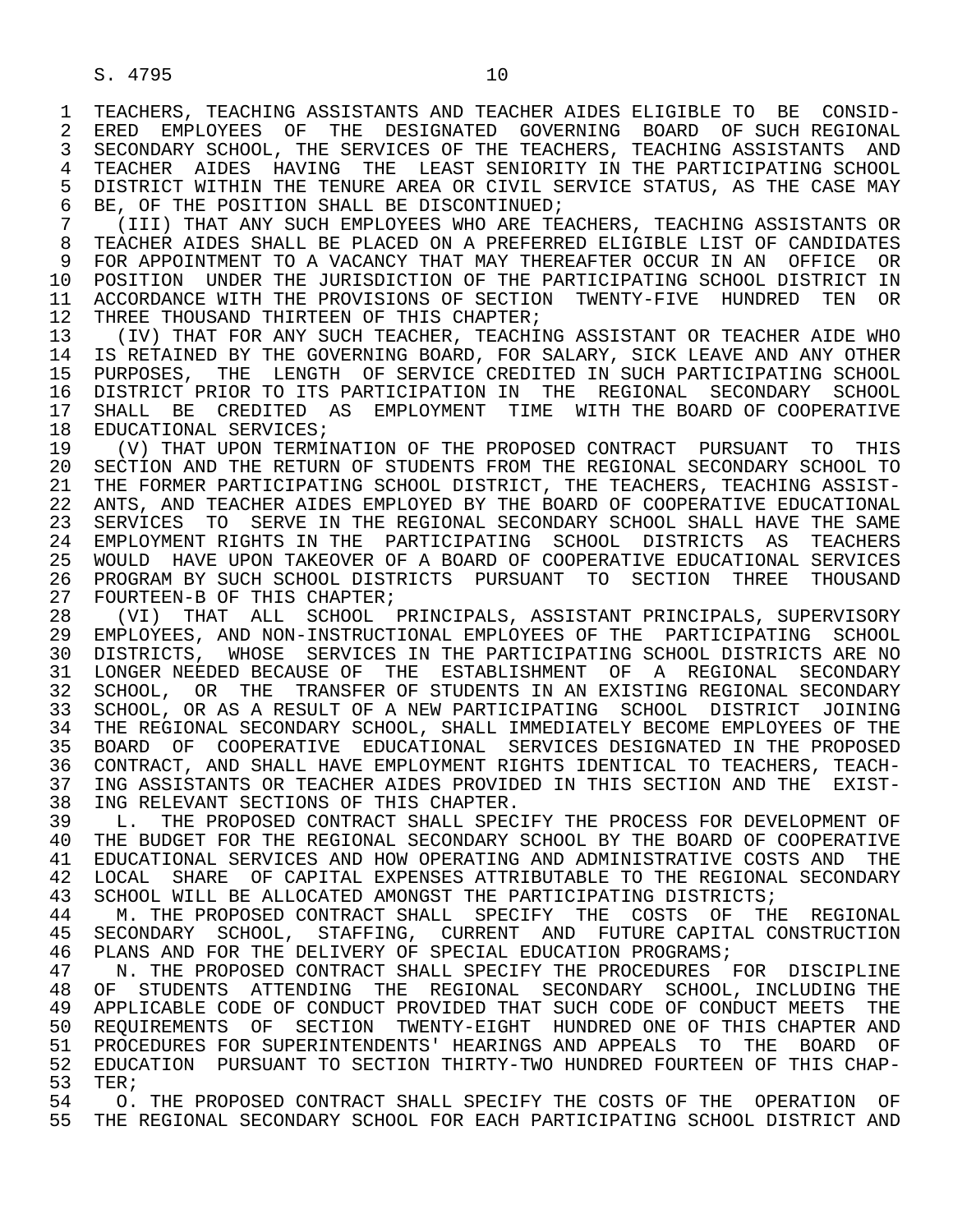1 TEACHERS, TEACHING ASSISTANTS AND TEACHER AIDES ELIGIBLE TO BE CONSID-<br>2 ERED EMPLOYEES OF THE DESIGNATED GOVERNING BOARD OF SUCH REGIONAL 2 ERED EMPLOYEES OF THE DESIGNATED GOVERNING BOARD OF SUCH-REGIONAL<br>3 SECONDARY SCHOOL, THE SERVICES OF THE TEACHERS, TEACHING ASSISTANTS AND 3 SECONDARY SCHOOL, THE SERVICES OF THE TEACHERS, TEACHING ASSISTANTS AND 4 TEACHER AIDES HAVING THE LEAST SENIORITY IN THE PARTICIPATING SCHOOL<br>5 DISTRICT WITHIN THE TENURE AREA OR CIVIL SERVICE STATUS, AS THE CASE MAY 5 DISTRICT WITHIN THE TENURE AREA OR CIVIL SERVICE STATUS, AS THE CASE MAY<br>6 BE. OF THE POSITION SHALL BE DISCONTINUED; 6 BE, OF THE POSITION SHALL BE DISCONTINUED;<br>7 (III) THAT ANY SUCH EMPLOYEES WHO ARE TE

7 (III) THAT ANY SUCH EMPLOYEES WHO ARE TEACHERS, TEACHING ASSISTANTS OR<br>8 TEACHER AIDES SHALL BE PLACED ON A PREFERRED ELIGIBLE LIST OF CANDIDATES 8 TEACHER AIDES SHALL BE PLACED ON A PREFERRED ELIGIBLE LIST OF CANDIDATES<br>9 FOR APPOINTMENT TO A VACANCY THAT MAY THEREAFTER OCCUR IN AN OFFICE OR 9 FOR APPOINTMENT TO A VACANCY THAT MAY THEREAFTER OCCUR IN AN OFFICE OR<br>10 POSITION UNDER THE JURISDICTION OF THE PARTICIPATING SCHOOL DISTRICT IN 10 POSITION UNDER THE JURISDICTION OF THE PARTICIPATING SCHOOL DISTRICT IN<br>11 ACCORDANCE WITH THE PROVISIONS OF SECTION TWENTY-FIVE HUNDRED TEN OR 11 ACCORDANCE WITH THE PROVISIONS OF SECTION TWENTY-FIVE HUNDRED TEN OR<br>12 THREE THOUSAND THIRTEEN OF THIS CHAPTER; 12 THREE THOUSAND THIRTEEN OF THIS CHAPTER;<br>13 (IV) THAT FOR ANY SUCH TEACHER, TEACHII

13 (IV) THAT FOR ANY SUCH TEACHER, TEACHING ASSISTANT OR TEACHER AIDE WHO<br>14 IS RETAINED BY THE GOVERNING BOARD, FOR SALARY, SICK LEAVE AND ANY OTHER IS RETAINED BY THE GOVERNING BOARD, FOR SALARY, SICK LEAVE AND ANY OTHER 15 PURPOSES, THE LENGTH OF SERVICE CREDITED IN SUCH PARTICIPATING SCHOOL 16 DISTRICT PRIOR TO ITS PARTICIPATION IN THE REGIONAL SECONDARY SCHOOL<br>17 SHALL BE CREDITED AS EMPLOYMENT TIME WITH THE BOARD OF COOPERATIVE 17 SHALL BE CREDITED AS EMPLOYMENT TIME WITH THE BOARD OF COOPERATIVE 18 EDUCATIONAL SERVICES; 18 EDUCATIONAL SERVICES;<br>19 (V) THAT UPON TERMI

 19 (V) THAT UPON TERMINATION OF THE PROPOSED CONTRACT PURSUANT TO THIS 20 SECTION AND THE RETURN OF STUDENTS FROM THE REGIONAL SECONDARY SCHOOL TO<br>21 THE FORMER PARTICIPATING SCHOOL DISTRICT, THE TEACHERS, TEACHING ASSIST-21 THE FORMER PARTICIPATING SCHOOL DISTRICT, THE TEACHERS, TEACHING ASSIST-<br>22 ANTS, AND TEACHER AIDES EMPLOYED BY THE BOARD OF COOPERATIVE EDUCATIONAL 22 ANTS, AND TEACHER AIDES EMPLOYED BY THE BOARD OF COOPERATIVE EDUCATIONAL<br>23 SERVICES TO SERVE IN THE REGIONAL SECONDARY SCHOOL SHALL HAVE THE SAME SERVICES TO SERVE IN THE REGIONAL SECONDARY SCHOOL SHALL HAVE THE SAME 24 EMPLOYMENT RIGHTS IN THE PARTICIPATING SCHOOL DISTRICTS AS TEACHERS<br>25 WOULD HAVE UPON TAKEOVER OF A BOARD OF COOPERATIVE EDUCATIONAL SERVICES 25 WOULD HAVE UPON TAKEOVER OF A BOARD OF COOPERATIVE EDUCATIONAL SERVICES 26 PROGRAM BY SUCH SCHOOL DISTRICTS PURSUANT TO SECTION THREE THOUSAND<br>27 FOURTEEN-B OF THIS CHAPTER; 27 FOURTEEN-B OF THIS CHAPTER;<br>28 (VI) THAT ALL SCHOOL

28 (VI) THAT ALL SCHOOL PRINCIPALS, ASSISTANT PRINCIPALS, SUPERVISORY<br>29 EMPLOYEES, AND NON-INSTRUCTIONAL EMPLOYEES OF THE PARTICIPATING SCHOOL 29 EMPLOYEES, AND NON-INSTRUCTIONAL EMPLOYEES OF THE PARTICIPATING SCHOOL<br>30 DISTRICTS, WHOSE SERVICES IN THE PARTICIPATING SCHOOL DISTRICTS ARE NO 30 DISTRICTS, WHOSE SERVICES IN THE PARTICIPATING SCHOOL DISTRICTS ARE NO<br>31 LONGER NEEDED BECAUSE OF THE ESTABLISHMENT OF A REGIONAL SECONDARY 31 LONGER NEEDED BECAUSE OF THE ESTABLISHMENT OF A REGIONAL SECONDARY<br>32 SCHOOL, OR THE TRANSFER OF STUDENTS IN AN EXISTING REGIONAL SECONDARY 32 SCHOOL, OR THE TRANSFER OF STUDENTS IN AN EXISTING REGIONAL SECONDARY<br>33 SCHOOL, OR AS A RESULT OF A NEW PARTICIPATING SCHOOL DISTRICT JOINING 33 SCHOOL, OR AS A RESULT OF A NEW PARTICIPATING SCHOOL DISTRICT JOINING<br>34 THE REGIONAL SECONDARY SCHOOL, SHALL IMMEDIATELY BECOME EMPLOYEES OF THE 34 THE REGIONAL SECONDARY SCHOOL, SHALL IMMEDIATELY BECOME EMPLOYEES OF THE<br>35 BOARD OF COOPERATIVE EDUCATIONAL SERVICES DESIGNATED IN THE PROPOSED <sup>35</sup> BOARD OF COOPERATIVE EDUCATIONAL SERVICES DESIGNATED IN THE PROPOSED<br>36 CONTRACT, AND SHALL HAVE EMPLOYMENT RIGHTS IDENTICAL TO TEACHERS, TEACH- 36 CONTRACT, AND SHALL HAVE EMPLOYMENT RIGHTS IDENTICAL TO TEACHERS, TEACH- 37 ING ASSISTANTS OR TEACHER AIDES PROVIDED IN THIS SECTION AND THE EXIST-<br>38 ING RELEVANT SECTIONS OF THIS CHAPTER. 38 ING RELEVANT SECTIONS OF THIS CHAPTER.<br>39 L. THE PROPOSED CONTRACT SHALL SPEC

 39 L. THE PROPOSED CONTRACT SHALL SPECIFY THE PROCESS FOR DEVELOPMENT OF 40 THE BUDGET FOR THE REGIONAL SECONDARY SCHOOL BY THE BOARD OF COOPERATIVE 41 FORCET SERVICES AND THE 41 EDUCATIONAL SERVICES AND HOW OPERATING AND ADMINISTRATIVE COSTS AND THE 42 LOCAL SHARE OF CAPITAL EXPENSES ATTRIBUTABLE TO THE REGIONAL SECONDARY 42 LOCAL SHARE OF CAPITAL EXPENSES ATTRIBUTABLE TO THE REGIONAL SECONDARY<br>43 SCHOOL WILL BE ALLOCATED AMONGST THE PARTICIPATING DISTRICTS; 43 SCHOOL WILL BE ALLOCATED AMONGST THE PARTICIPATING DISTRICTS;<br>44 M. THE PROPOSED CONTRACT SHALL SPECIFY THE COSTS OF TH

44 M. THE PROPOSED CONTRACT SHALL SPECIFY THE COSTS OF THE REGIONAL 45 SECONDARY SCHOOL. STAFFING. CURRENT AND FUTURE CAPITAL CONSTRUCTION SECONDARY SCHOOL, STAFFING, CURRENT AND FUTURE CAPITAL CONSTRUCTION 46 PLANS AND FOR THE DELIVERY OF SPECIAL EDUCATION PROGRAMS;<br>47 N. THE PROPOSED CONTRACT SHALL SPECIFY THE PROCEDURES E

47 N. THE PROPOSED CONTRACT SHALL SPECIFY THE PROCEDURES FOR DISCIPLINE<br>48 OF STUDENTS ATTENDING THE REGIONAL SECONDARY SCHOOL, INCLUDING THE 48 OF STUDENTS ATTENDING THE REGIONAL SECONDARY SCHOOL, INCLUDING THE 49 APPLICABLE CODE OF CONDUCT PROVIDED THAT SUCH CODE OF CONDUCT MEETS THE 41 THE SOLUTABLE OF SECTION TWENTY-EIGHT HUNDRED ONE OF THIS CHAPTER AND 50 REQUIREMENTS OF SECTION TWENTY-EIGHT HUNDRED ONE OF THIS CHAPTER AND<br>51 PROCEDURES FOR SUPERINTENDENTS' HEARINGS AND APPEALS TO THE BOARD OF 51 PROCEDURES FOR SUPERINTENDENTS' HEARINGS AND APPEALS TO THE BOARD OF<br>52 EDUCATION PURSUANT TO SECTION THIRTY-TWO HUNDRED FOURTEEN OF THIS CHAP-52 EDUCATION PURSUANT TO SECTION THIRTY-TWO HUNDRED FOURTEEN OF THIS CHAP-<br>53 TER; 53 TER*;*<br>54 O.

54 O. THE PROPOSED CONTRACT SHALL SPECIFY THE COSTS OF THE OPERATION OF<br>55 THE REGIONAL SECONDARY SCHOOL FOR EACH PARTICIPATING SCHOOL DISTRICT AND THE REGIONAL SECONDARY SCHOOL FOR EACH PARTICIPATING SCHOOL DISTRICT AND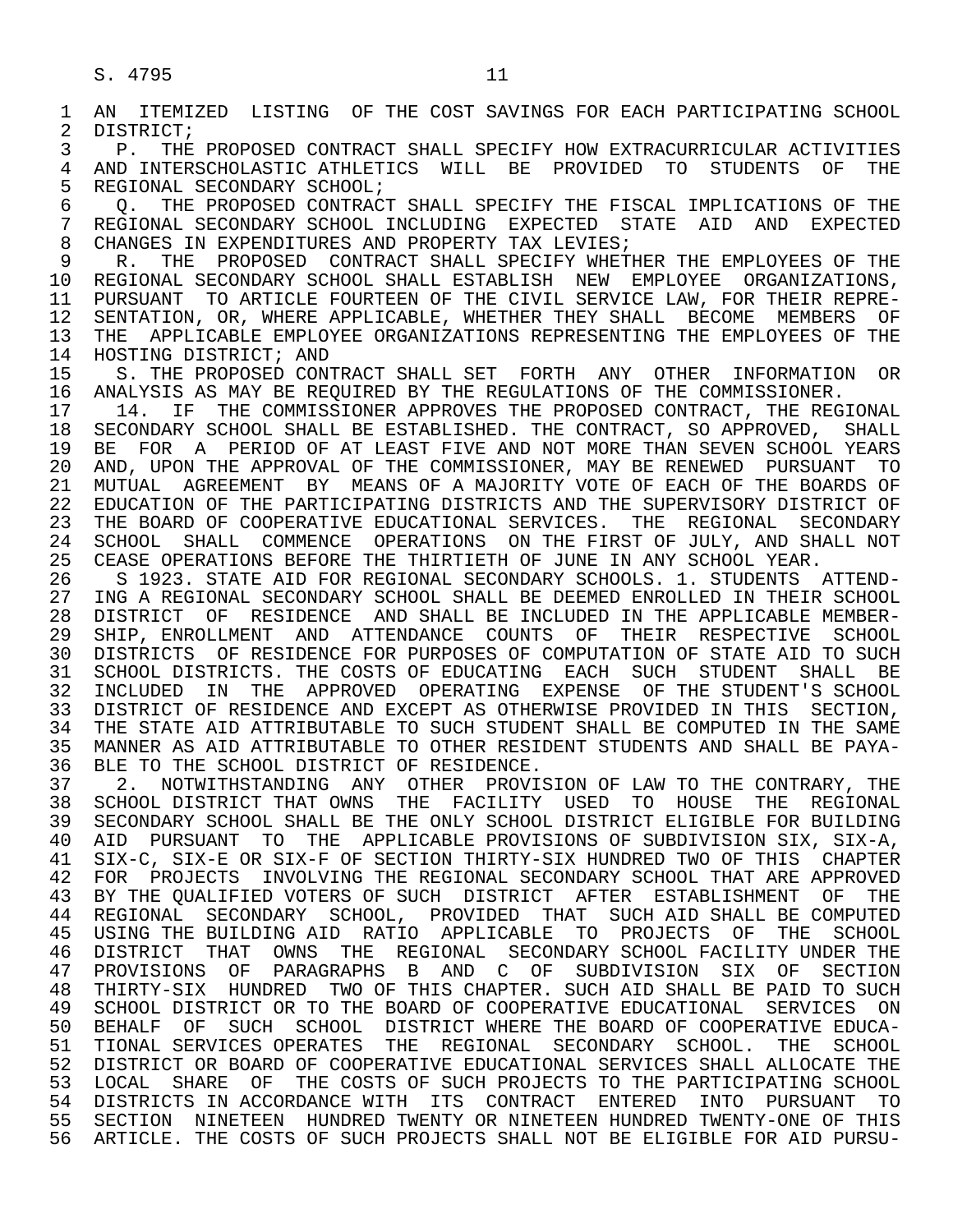1 AN ITEMIZED LISTING OF THE COST SAVINGS FOR EACH PARTICIPATING SCHOOL<br>2 DISTRICT; 2 DISTRICT;<br>3 P. THE 3 P. THE PROPOSED CONTRACT SHALL SPECIFY HOW EXTRACURRICULAR ACTIVITIES<br>4 AND INTERSCHOLASTIC ATHLETICS WILL BE PROVIDED TO STUDENTS OF THE 4 AND INTERSCHOLASTIC ATHLETICS WILL BE PROVIDED TO STUDENTS OF THE 5 REGIONAL SECONDARY SCHOOL; 5 REGIONAL SECONDARY SCHOOL;<br>6 0. THE PROPOSED CONTRACT 6 Q. THE PROPOSED CONTRACT SHALL SPECIFY THE FISCAL IMPLICATIONS OF THE 7 REGIONAL SECONDARY SCHOOL INCLUDING EXPECTED STATE AID AND EXPECTED 7 REGIONAL SECONDARY SCHOOL INCLUDING EXPECTED STATE AID AND EXPECTED<br>8 CHANGES IN EXPENDITURES AND PROPERTY TAX LEVIES; 8 CHANGES IN EXPENDITURES AND PROPERTY TAX LEVIES;<br>9 R. THE PROPOSED CONTRACT SHALL SPECIFY WHET! 9 R. THE PROPOSED CONTRACT SHALL SPECIFY WHETHER THE EMPLOYEES OF THE 10 REGIONAL SECONDARY SCHOOL SHALL ESTABLISH NEW EMPLOYEE ORGANIZATIONS. 10 REGIONAL SECONDARY SCHOOL SHALL ESTABLISH NEW EMPLOYEE ORGANIZATIONS,<br>11 PURSUANT TO ARTICLE FOURTEEN OF THE CIVIL SERVICE LAW, FOR THEIR REPRE-11 PURSUANT TO ARTICLE FOURTEEN OF THE CIVIL SERVICE LAW, FOR THEIR REPRE-<br>12 SENTATION, OR, WHERE APPLICABLE, WHETHER THEY SHALL BECOME MEMBERS OF 12 SENTATION, OR, WHERE APPLICABLE, WHETHER THEY SHALL BECOME MEMBERS OF<br>13 THE APPLICABLE EMPLOYEE ORGANIZATIONS REPRESENTING THE EMPLOYEES OF THE 13 THE APPLICABLE EMPLOYEE ORGANIZATIONS REPRESENTING THE EMPLOYEES OF THE 14 HOSTING DISTRICT: AND 14 HOSTING DISTRICT; AND 15 S. THE PROPOSED CONTRACT SHALL SET FORTH ANY OTHER INFORMATION OR<br>16 ANALYSIS AS MAY BE REOUIRED BY THE REGULATIONS OF THE COMMISSIONER. 16 ANALYSIS AS MAY BE REQUIRED BY THE REGULATIONS OF THE COMMISSIONER.<br>17 14. IF THE COMMISSIONER APPROVES THE PROPOSED CONTRACT, THE REGI 17 14. IF THE COMMISSIONER APPROVES THE PROPOSED CONTRACT, THE REGIONAL 18 SECONDARY SCHOOL SHALL BE ESTABLISHED. THE CONTRACT, SO APPROVED, SHALL 18 SECONDARY SCHOOL SHALL BE ESTABLISHED. THE CONTRACT, SO APPROVED, SHALL<br>19 BE FOR A PERIOD OF AT LEAST FIVE AND NOT MORE THAN SEVEN SCHOOL YEARS 19 BE FOR A PERIOD OF AT LEAST FIVE AND NOT MORE THAN SEVEN SCHOOL YEARS<br>20 AND, UPON THE APPROVAL OF THE COMMISSIONER, MAY BE RENEWED PURSUANT TO 20 AND, UPON THE APPROVAL OF THE COMMISSIONER, MAY BE RENEWED PURSUANT TO<br>21 MUTUAL AGREEMENT BY MEANS OF A MAJORITY VOTE OF EACH OF THE BOARDS OF 21 MUTUAL AGREEMENT BY MEANS OF A MAJORITY VOTE OF EACH OF THE BOARDS OF<br>22 EDUCATION OF THE PARTICIPATING DISTRICTS AND THE SUPERVISORY DISTRICT OF 22 EDUCATION OF THE PARTICIPATING DISTRICTS AND THE SUPERVISORY DISTRICT OF<br>23 THE BOARD OF COOPERATIVE EDUCATIONAL SERVICES. THE REGIONAL SECONDARY 23 THE BOARD OF COOPERATIVE EDUCATIONAL SERVICES. THE REGIONAL SECONDARY<br>24 SCHOOL SHALL COMMENCE OPERATIONS ON THE FIRST OF JULY, AND SHALL NOT 24 SCHOOL SHALL COMMENCE OPERATIONS ON THE FIRST OF JULY, AND SHALL NOT<br>25 CEASE OPERATIONS BEFORE THE THIRTIETH OF JUNE IN ANY SCHOOL YEAR. CEASE OPERATIONS BEFORE THE THIRTIETH OF JUNE IN ANY SCHOOL YEAR. 26 S 1923. STATE AID FOR REGIONAL SECONDARY SCHOOLS. 1. STUDENTS ATTEND- 27 ING A REGIONAL SECONDARY SCHOOL SHALL BE DEEMED ENROLLED IN THEIR SCHOOL<br>28 DISTRICT OF RESIDENCE AND SHALL BE INCLUDED IN THE APPLICABLE MEMBER-28 DISTRICT OF RESIDENCE AND SHALL BE INCLUDED IN THE APPLICABLE MEMBER-<br>29 SHIP, ENROLLMENT AND ATTENDANCE COUNTS OF THEIR RESPECTIVE SCHOOL SHIP, ENROLLMENT AND ATTENDANCE COUNTS OF THEIR RESPECTIVE SCHOOL 30 DISTRICTS OF RESIDENCE FOR PURPOSES OF COMPUTATION OF STATE AID TO SUCH 31 SCHOOL DISTRICTS. THE COSTS OF EDUCATING EACH SUCH STUDENT SHALL BE<br>32 INCLUDED IN THE APPROVED OPERATING EXPENSE OF THE STUDENT'S SCHOOL 32 INCLUDED IN THE APPROVED OPERATING EXPENSE OF THE STUDENT'S SCHOOL 33 DISTRICT OF RESIDENCE AND EXCEPT AS OTHERWISE PROVIDED IN THIS SECTION. 33 DISTRICT OF RESIDENCE AND EXCEPT AS OTHERWISE PROVIDED IN THIS SECTION,<br>34 THE STATE AID ATTRIBUTABLE TO SUCH STUDENT SHALL BE COMPUTED IN THE SAME THE STATE AID ATTRIBUTABLE TO SUCH STUDENT SHALL BE COMPUTED IN THE SAME 35 MANNER AS AID ATTRIBUTABLE TO OTHER RESIDENT STUDENTS AND SHALL BE PAYA- BLE TO THE SCHOOL DISTRICT OF RESIDENCE. 37 2. NOTWITHSTANDING ANY OTHER PROVISION OF LAW TO THE CONTRARY, THE 38 SCHOOL DISTRICT THAT OWNS THE FACILITY USED TO HOUSE THE REGIONAL 38 SCHOOL DISTRICT THAT OWNS THE FACILITY USED TO HOUSE THE REGIONAL<br>39 SECONDARY SCHOOL SHALL BE THE ONLY SCHOOL DISTRICT ELIGIBLE FOR BUILDING 39 SECONDARY SCHOOL SHALL BE THE ONLY SCHOOL DISTRICT ELIGIBLE FOR BUILDING<br>40 AID PURSUANT TO THE APPLICABLE PROVISIONS OF SUBDIVISION SIX, SIX-A, AID PURSUANT TO THE APPLICABLE PROVISIONS OF SUBDIVISION SIX, SIX-A, 41 SIX-C, SIX-E OR SIX-F OF SECTION THIRTY-SIX HUNDRED TWO OF THIS CHAPTER 42 FOR PROJECTS INVOLVING THE REGIONAL SECONDARY SCHOOL THAT ARE APPROVED<br>43 BY THE OUALIFIED VOTERS OF SUCH DISTRICT AFTER ESTABLISHMENT OF THE BY THE QUALIFIED VOTERS OF SUCH DISTRICT AFTER ESTABLISHMENT OF THE 44 REGIONAL SECONDARY SCHOOL, PROVIDED THAT SUCH AID SHALL BE COMPUTED<br>45 USING THE BUILDING AID RATIO APPLICABLE TO PROJECTS OF THE SCHOOL 45 USING THE BUILDING AID RATIO APPLICABLE TO PROJECTS OF THE SCHOOL 46 DISTRICT THAT OWNS THE REGIONAL SECONDARY SCHOOL FACILITY UNDER THE 47 PROVISIONS OF PARAGRAPHS B AND C OF SUBDIVISION SIX OF SECTION 47 PROVISIONS OF PARAGRAPHS B AND C OF SUBDIVISION SIX OF SECTION 48 THIRTY-SIX HUNDRED TWO OF THIS CHAPTER. SUCH AID SHALL BE PAID TO SUCH 49 SCHOOL DISTRICT OR TO THE BOARD OF COOPERATIVE EDUCATIONAL SERVICES ON 49 SCHOOL DISTRICT OR TO THE BOARD OF COOPERATIVE EDUCATIONAL SERVICES ON 49 SCHOOL DISTRICT WHERE THE BOARD OF COOPERATIVE EDUCA-BEHALF OF SUCH SCHOOL DISTRICT WHERE THE BOARD OF COOPERATIVE EDUCA-

 51 TIONAL SERVICES OPERATES THE REGIONAL SECONDARY SCHOOL. THE SCHOOL 52 DISTRICT OR BOARD OF COOPERATIVE EDUCATIONAL SERVICES SHALL ALLOCATE THE 53 LOCAL SHARE OF THE COSTS OF SUCH PROJECTS TO THE PARTICIPATING SCHOOL<br>54 DISTRICTS IN ACCORDANCE WITH ITS CONTRACT ENTERED INTO PURSUANT TO 54 DISTRICTS IN ACCORDANCE WITH ITS CONTRACT ENTERED INTO PURSUANT TO<br>55 SECTION NINETEEN HUNDRED TWENTY OR NINETEEN HUNDRED TWENTY-ONE OF THIS 55 SECTION NINETEEN HUNDRED TWENTY OR NINETEEN HUNDRED TWENTY-ONE OF THIS 56 ARTICLE. THE COSTS OF SUCH PROJECTS SHALL NOT BE ELIGIBLE FOR AID PURSU-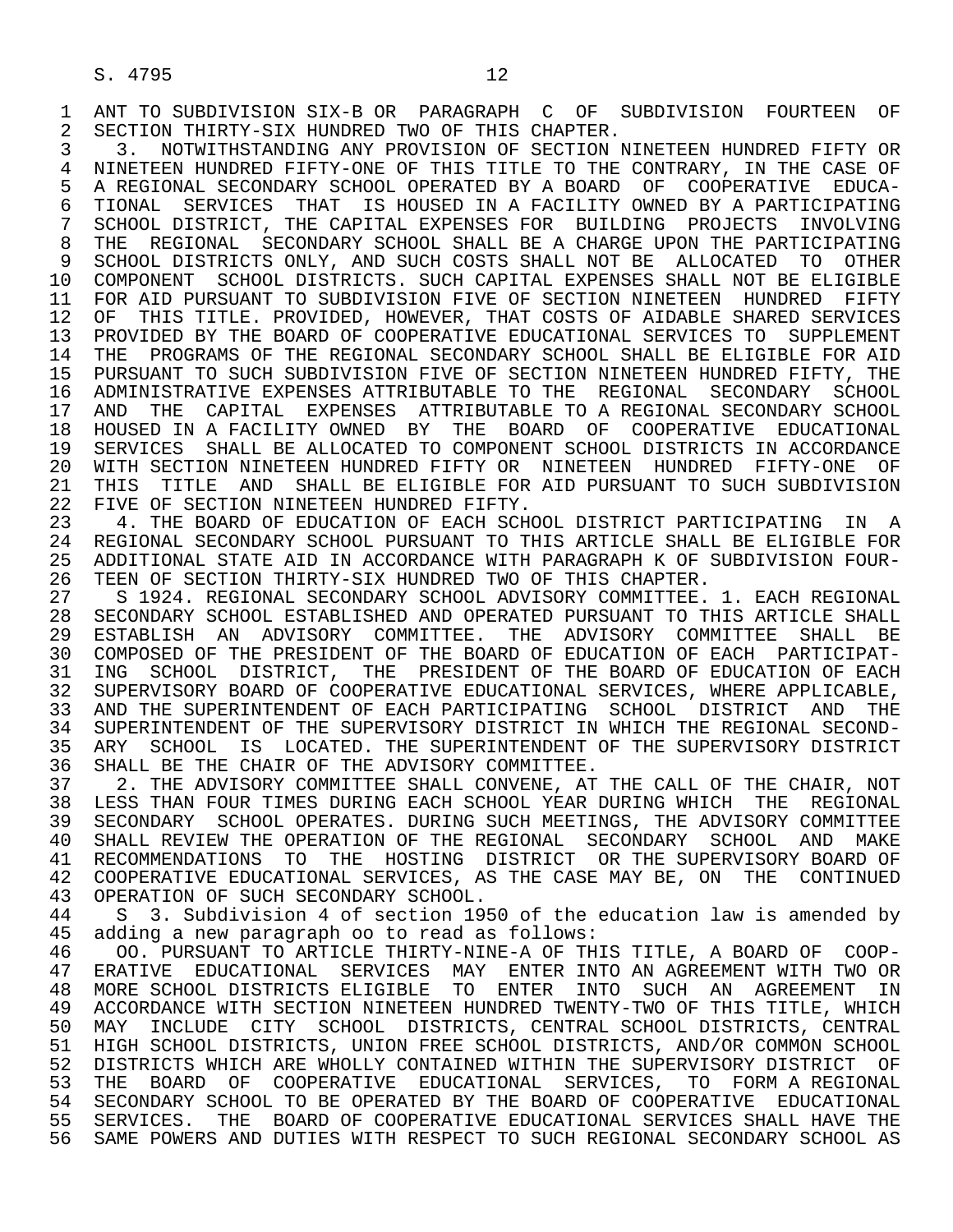2 SECTION THIRTY-SIX HUNDRED TWO OF THIS CHAPTER.<br>3 3. NOTWITHSTANDING ANY PROVISION OF SECTION I 3 3. NOTWITHSTANDING ANY PROVISION OF SECTION NINETEEN HUNDRED FIFTY OR<br>4 NINETEEN HUNDRED FIFTY-ONE OF THIS TITLE TO THE CONTRARY, IN THE CASE OF 4 NINETEEN HUNDRED FIFTY-ONE OF THIS TITLE TO THE CONTRARY, IN THE CASE OF<br>5 A REGIONAL SECONDARY SCHOOL OPERATED BY A BOARD OF COOPERATIVE EDUCA- 5 A REGIONAL SECONDARY SCHOOL OPERATED BY A BOARD OF COOPERATIVE EDUCA- 6 TIONAL SERVICES THAT IS HOUSED IN A FACILITY OWNED BY A PARTICIPATING<br>7 SCHOOL DISTRICT, THE CAPITAL EXPENSES FOR BUILDING PROJECTS INVOLVING 7 SCHOOL DISTRICT, THE CAPITAL EXPENSES FOR BUILDING PROJECTS INVOLVING<br>8 THE REGIONAL SECONDARY SCHOOL SHALL BE A CHARGE UPON THE PARTICIPATING 8 THE REGIONAL SECONDARY SCHOOL SHALL BE A CHARGE UPON THE PARTICIPATING<br>9 SCHOOL DISTRICTS ONLY, AND SUCH COSTS SHALL NOT BE ALLOCATED TO OTHER 9 SCHOOL DISTRICTS ONLY, AND SUCH COSTS SHALL NOT BE ALLOCATED TO OTHER 10 COMPONENT SCHOOL DISTRICTS. SUCH CAPITAL EXPENSES SHALL NOT BE ELIGIBLE 11 FOR AID PURSUANT TO SUBDIVISION FIVE OF SECTION NINETEEN HUNDRED FIFTY 12 OF THIS TITLE. PROVIDED, HOWEVER, THAT COSTS OF AIDABLE SHARED SERVICES<br>13 PROVIDED BY THE BOARD OF COOPERATIVE EDUCATIONAL SERVICES TO SUPPLEMENT 13 PROVIDED BY THE BOARD OF COOPERATIVE EDUCATIONAL SERVICES TO SUPPLEMENT<br>14 THE PROGRAMS OF THE REGIONAL SECONDARY SCHOOL SHALL BE ELIGIBLE FOR AID 14 THE PROGRAMS OF THE REGIONAL SECONDARY SCHOOL SHALL BE ELIGIBLE FOR AID 15 PURSUANT TO SUCH SUBDIVISION FIVE OF SECTION NINETEEN HUNDRED FIFTY, THE 16 ADMINISTRATIVE EXPENSES ATTRIBUTABLE TO THE REGIONAL SECONDARY SCHOOL<br>17 AND THE CAPITAL EXPENSES ATTRIBUTABLE TO A REGIONAL SECONDARY SCHOOL AND THE CAPITAL EXPENSES ATTRIBUTABLE TO A REGIONAL SECONDARY SCHOOL 18 HOUSED IN A FACILITY OWNED BY THE BOARD OF COOPERATIVE EDUCATIONAL<br>19 SERVICES SHALL BE ALLOCATED TO COMPONENT SCHOOL DISTRICTS IN ACCORDANCE SERVICES SHALL BE ALLOCATED TO COMPONENT SCHOOL DISTRICTS IN ACCORDANCE 20 WITH SECTION NINETEEN HUNDRED FIFTY OR NINETEEN HUNDRED FIFTY-ONE OF<br>21 THIS TITLE AND SHALL BE ELIGIBLE FOR AID PURSUANT TO SUCH SUBDIVISION 21 THIS TITLE AND SHALL BE ELIGIBLE FOR AID PURSUANT TO SUCH SUBDIVISION<br>22 FIVE OF SECTION NINETEEN HUNDRED FIFTY. 22 FIVE OF SECTION NINETEEN HUNDRED FIFTY.<br>23 4. THE BOARD OF EDUCATION OF EACH SCH

23 4. THE BOARD OF EDUCATION OF EACH SCHOOL DISTRICT PARTICIPATING IN A<br>24 REGIONAL SECONDARY SCHOOL PURSUANT TO THIS ARTICLE SHALL BE ELIGIBLE FOR 24 REGIONAL SECONDARY SCHOOL PURSUANT TO THIS ARTICLE SHALL BE ELIGIBLE FOR<br>25 ADDITIONAL STATE AID IN ACCORDANCE WITH PARAGRAPH K OF SUBDIVISION FOUR- 25 ADDITIONAL STATE AID IN ACCORDANCE WITH PARAGRAPH K OF SUBDIVISION FOUR- 26 TEEN OF SECTION THIRTY-SIX HUNDRED TWO OF THIS CHAPTER.<br>27 S 1924. REGIONAL SECONDARY SCHOOL ADVISORY COMMITTEE.

 27 S 1924. REGIONAL SECONDARY SCHOOL ADVISORY COMMITTEE. 1. EACH REGIONAL SECONDARY SCHOOL ESTABLISHED AND OPERATED PURSUANT TO THIS ARTICLE SHALL 29 ESTABLISH AN ADVISORY COMMITTEE. THE ADVISORY COMMITTEE SHALL BE 30 COMPOSED OF THE PRESIDENT OF THE BOARD OF EDUCATION OF EACH PARTICIPAT- 31 ING SCHOOL DISTRICT, THE PRESIDENT OF THE BOARD OF EDUCATION OF EACH 32 SUPERVISORY BOARD OF COOPERATIVE EDUCATIONAL SERVICES, WHERE APPLICABLE, 33 AND THE SUPERINTENDENT OF EACH PARTICIPATING SCHOOL DISTRICT AND THE 34 SUPERINTENDENT OF THE SUPERVISORY DISTRICT IN WHICH THE REGIONAL SECOND- 35 ARY SCHOOL IS LOCATED. THE SUPERINTENDENT OF THE SUPERVISORY DISTRICT<br>36 SHALL BE THE CHAIR OF THE ADVISORY COMMITTEE. 36 SHALL BE THE CHAIR OF THE ADVISORY COMMITTEE.<br>37 2. THE ADVISORY COMMITTEE SHALL CONVENE, AT

37 2. THE ADVISORY COMMITTEE SHALL CONVENE, AT THE CALL OF THE CHAIR, NOT<br>38 LESS THAN FOUR TIMES DURING EACH SCHOOL YEAR DURING WHICH THE REGIONAL 38 LESS THAN FOUR TIMES DURING EACH SCHOOL YEAR DURING WHICH THE REGIONAL<br>39 SECONDARY SCHOOL OPERATES, DURING SUCH MEETINGS, THE ADVISORY COMMITTEE 39 SECONDARY SCHOOL OPERATES. DURING SUCH MEETINGS, THE ADVISORY COMMITTEE<br>40 SHALL REVIEW THE OPERATION OF THE REGIONAL SECONDARY SCHOOL AND MAKE 40 SHALL REVIEW THE OPERATION OF THE REGIONAL SECONDARY SCHOOL AND MAKE<br>41 RECOMMENDATIONS TO THE HOSTING DISTRICT OR THE SUPERVISORY BOARD OF 41 RECOMMENDATIONS TO THE HOSTING DISTRICT OR THE SUPERVISORY BOARD OF 42 COOPERATIVE EDUCATIONAL SERVICES, AS THE CASE MAY BE, ON THE CONTINUED 43 OPERATION OF SUCH SECONDARY SCHOOL. 43 OPERATION OF SUCH SECONDARY SCHOOL.<br>44 S 3. Subdivision 4 of section 19

44 S 3. Subdivision 4 of section 1950 of the education law is amended by<br>45 adding a new paragraph oo to read as follows: 45 adding a new paragraph oo to read as follows:

46 00. PURSUANT TO ARTICLE THIRTY-NINE-A OF THIS TITLE, A BOARD OF COOP-<br>47 ERATIVE EDUCATIONAL SERVICES MAY ENTER INTO AN AGREEMENT WITH TWO OR 47 ERATIVE EDUCATIONAL SERVICES MAY ENTER INTO AN $\overline{A}$  agreement with two or an agreement the 48 more school districts eligible to enter into such an agreement in 48 MORE SCHOOL DISTRICTS ELIGIBLE TO ENTER INTO SUCH AN AGREEMENT IN<br>49 ACCORDANCE WITH SECTION NINETEEN HUNDRED TWENTY-TWO OF THIS TITLE, WHICH ACCORDANCE WITH SECTION NINETEEN HUNDRED TWENTY-TWO OF THIS TITLE, WHICH 50 MAY INCLUDE CITY SCHOOL DISTRICTS, CENTRAL SCHOOL DISTRICTS, CENTRAL<br>51 HIGH SCHOOL DISTRICTS, UNION FREE SCHOOL DISTRICTS, AND/OR COMMON SCHOOL 51 HIGH SCHOOL DISTRICTS, UNION FREE SCHOOL DISTRICTS, AND/OR COMMON SCHOOL 52 DISTRICTS WHICH ARE WHOLLY CONTAINED WITHIN THE SUPERVISORY DISTRICT OF 53 THE BOARD OF COOPERATIVE EDUCATIONAL SERVICES, TO FORM A REGIONAL 54 SECONDARY SCHOOL TO BE OPERATED BY THE BOARD OF COOPERATIVE EDUCATIONAL SECONDARY SCHOOL TO BE OPERATED BY THE BOARD OF COOPERATIVE EDUCATIONAL 55 SERVICES. THE BOARD OF COOPERATIVE EDUCATIONAL SERVICES SHALL HAVE THE 56 SAME POWERS AND DUTIES WITH RESPECT TO SUCH REGIONAL SECONDARY SCHOOL AS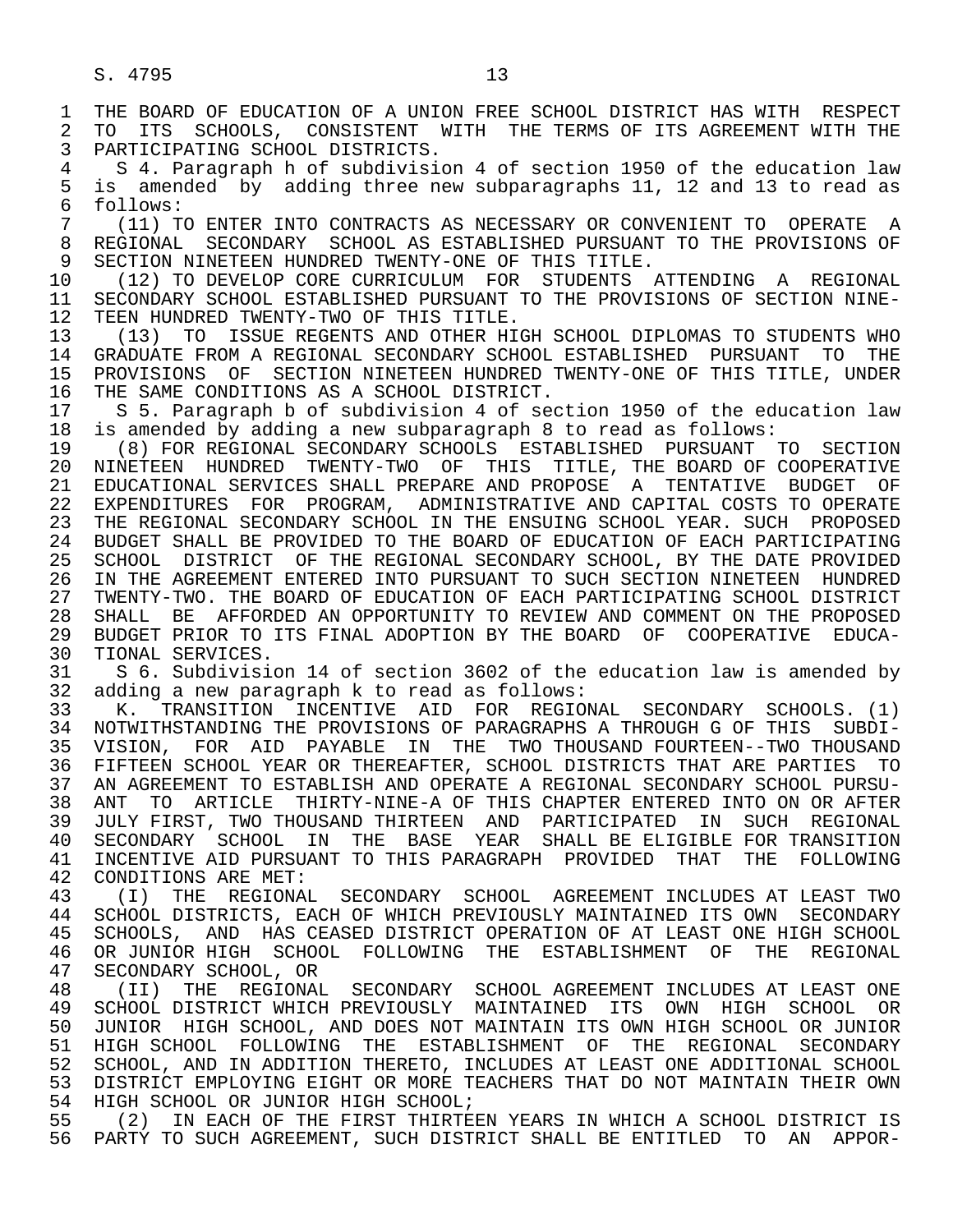PARTICIPATING SCHOOL DISTRICTS. 4 S 4. Paragraph h of subdivision 4 of section 1950 of the education law<br>5 is amended by adding three new subparagraphs 11, 12 and 13 to read as 5 is amended by adding three new subparagraphs 11, 12 and 13 to read as<br>6 follows:

 $\begin{array}{cc} 6 & \text{follows:} \\ 7 & (11) & T \end{array}$ 7 (11) TO ENTER INTO CONTRACTS AS NECESSARY OR CONVENIENT TO OPERATE A<br>8 REGIONAL SECONDARY SCHOOL AS ESTABLISHED PURSUANT TO THE PROVISIONS OF 8 REGIONAL SECONDARY SCHOOL AS ESTABLISHED PURSUANT TO THE PROVISIONS OF<br>9 SECTION NINETEEN HUNDRED TWENTY-ONE OF THIS TITLE. 9 SECTION NINETEEN HUNDRED TWENTY-ONE OF THIS TITLE.<br>10 (12) TO DEVELOP CORE CURRICULUM FOR STUDENTS

 10 (12) TO DEVELOP CORE CURRICULUM FOR STUDENTS ATTENDING A REGIONAL 11 SECONDARY SCHOOL ESTABLISHED PURSUANT TO THE PROVISIONS OF SECTION NINE-<br>12 TEEN HUNDRED TWENTY-TWO OF THIS TITLE. 12 TEEN HUNDRED TWENTY-TWO OF THIS TITLE.<br>13 (13) TO ISSUE REGENTS AND OTHER HIG

13 (13) TO ISSUE REGENTS AND OTHER HIGH SCHOOL DIPLOMAS TO STUDENTS WHO<br>14 GRADUATE FROM A REGIONAL SECONDARY SCHOOL ESTABLISHED PURSUANT TO THE 14 GRADUATE FROM A REGIONAL SECONDARY SCHOOL ESTABLISHED PURSUANT TO THE 15 PROVISIONS OF SECTION NINETEEN HUNDRED TWENTY-ONE OF THIS TITLE, UNDER<br>16 THE SAME CONDITIONS AS A SCHOOL DISTRICT. 16 THE SAME CONDITIONS AS A SCHOOL DISTRICT.<br>17 S 5. Paragraph b of subdivision 4 of sec

17 S 5. Paragraph b of subdivision 4 of section 1950 of the education law<br>18 is amended by adding a new subparagraph 8 to read as follows: 18 is amended by adding a new subparagraph 8 to read as follows:

 19 (8) FOR REGIONAL SECONDARY SCHOOLS ESTABLISHED PURSUANT TO SECTION 20 NINETEEN HUNDRED TWENTY-TWO OF THIS TITLE, THE BOARD OF COOPERATIVE 21 EDUCATIONAL SERVICES SHALL PREPARE AND PROPOSE A TENTATIVE BUDGET OF 22 EXPENDITURES FOR PROGRAM, ADMINISTRATIVE AND CAPITAL COSTS TO OPERATE<br>23 THE REGIONAL SECONDARY SCHOOL IN THE ENSUING SCHOOL YEAR. SUCH PROPOSED THE REGIONAL SECONDARY SCHOOL IN THE ENSUING SCHOOL YEAR. SUCH PROPOSED 24 BUDGET SHALL BE PROVIDED TO THE BOARD OF EDUCATION OF EACH PARTICIPATING<br>25 SCHOOL DISTRICT OF THE REGIONAL SECONDARY SCHOOL, BY THE DATE PROVIDED 25 SCHOOL DISTRICT OF THE REGIONAL SECONDARY SCHOOL, BY THE DATE PROVIDED 26 IN THE AGREEMENT ENTERED INTO PURSUANT TO SUCH SECTION NINETEEN HUNDRED<br>27 TWENTY-TWO. THE BOARD OF EDUCATION OF EACH PARTICIPATING SCHOOL DISTRICT 27 TWENTY-TWO. THE BOARD OF EDUCATION OF EACH PARTICIPATING SCHOOL DISTRICT<br>28 SHALL BE AFFORDED AN OPPORTUNITY TO REVIEW AND COMMENT ON THE PROPOSED 28 SHALL BE AFFORDED AN OPPORTUNITY TO REVIEW AND COMMENT ON THE PROPOSED<br>29 BUDGET PRIOR TO ITS FINAL ADOPTION BY THE BOARD OF COOPERATIVE EDUCA-29 BUDGET PRIOR TO ITS FINAL ADOPTION BY THE BOARD OF COOPERATIVE EDUCA-<br>30 TIONAL SERVICES 30 TIONAL SERVICES.<br>31 S 6. Subdivisi

 31 S 6. Subdivision 14 of section 3602 of the education law is amended by 32 adding a new paragraph k to read as follows:<br>33 K. TRANSITION INCENTIVE AID FOR REGIO

 33 K. TRANSITION INCENTIVE AID FOR REGIONAL SECONDARY SCHOOLS. (1) 34 NOTWITHSTANDING THE PROVISIONS OF PARAGRAPHS A THROUGH G OF THIS SUBDI-<br>35 VISION, FOR AID PAYABLE IN THE TWO THOUSAND FOURTEEN--TWO THOUSAND 35 VISION, FOR AID PAYABLE IN THE TWO THOUSAND FOURTEEN--TWO THOUSAND<br>36 FIFTEEN SCHOOL YEAR OR THEREAFTER, SCHOOL DISTRICTS THAT ARE PARTIES TO 36 FIFTEEN SCHOOL YEAR OR THEREAFTER, SCHOOL DISTRICTS THAT ARE PARTIES TO 37 AN AGREEMENT TO ESTABLISH AND OPERATE A REGIONAL SECONDARY SCHOOL PURSU- 38 ANT TO ARTICLE THIRTY-NINE-A OF THIS CHAPTER ENTERED INTO ON OR AFTER 39 JULY FIRST, TWO THOUSAND THIRTEEN AND PARTICIPATED IN SUCH REGIONAL 40 SECONDARY SCHOOL IN THE BASE YEAR SHALL BE ELIGIBLE FOR TRANSITION<br>41 INCENTIVE AID PURSUANT TO THIS PARAGRAPH PROVIDED THAT THE FOLLOWING 41 INCENTIVE AID PURSUANT TO THIS PARAGRAPH PROVIDED THAT THE FOLLOWING<br>42 CONDITIONS ARE MET: 42 CONDITIONS ARE MET:<br>43 (T) THE REGIONAL

43 (I) THE REGIONAL SECONDARY SCHOOL AGREEMENT INCLUDES AT LEAST TWO<br>44 SCHOOL DISTRICTS, EACH OF WHICH PREVIOUSLY MAINTAINED ITS OWN SECONDARY 44 SCHOOL DISTRICTS, EACH OF WHICH PREVIOUSLY MAINTAINED ITS OWN SECONDARY<br>45 SCHOOLS, AND HAS CEASED DISTRICT OPERATION OF AT LEAST ONE HIGH SCHOOL SCHOOLS, AND HAS CEASED DISTRICT OPERATION OF AT LEAST ONE HIGH SCHOOL 46 OR JUNIOR HIGH SCHOOL FOLLOWING THE ESTABLISHMENT OF THE REGIONAL 47 SECONDARY SCHOOL. OR 47 SECONDARY SCHOOL, OR<br>48 (II) THE REGIONAL

 48 (II) THE REGIONAL SECONDARY SCHOOL AGREEMENT INCLUDES AT LEAST ONE 49 SCHOOL DISTRICT WHICH PREVIOUSLY MAINTAINED ITS OWN HIGH SCHOOL OR<br>50 JUNIOR HIGH SCHOOL, AND DOES NOT MAINTAIN ITS OWN HIGH SCHOOL OR JUNIOR 50 JUNIOR HIGH SCHOOL, AND DOES NOT MAINTAIN ITS OWN HIGH SCHOOL OR JUNIOR<br>51 HIGH SCHOOL FOLLOWING THE ESTABLISHMENT OF THE REGIONAL SECONDARY 51 HIGH SCHOOL FOLLOWING THE ESTABLISHMENT OF THE REGIONAL SECONDARY<br>52 SCHOOL, AND IN ADDITION THERETO, INCLUDES AT LEAST ONE ADDITIONAL SCHOOL 52 SCHOOL, AND IN ADDITION THERETO, INCLUDES AT LEAST ONE ADDITIONAL SCHOOL<br>53 DISTRICT EMPLOYING EIGHT OR MORE TEACHERS THAT DO NOT MAINTAIN THEIR OWN 53 DISTRICT EMPLOYING EIGHT OR MORE TEACHERS THAT DO NOT MAINTAIN THEIR OWN<br>54 HIGH SCHOOL OR JUNIOR HIGH SCHOOL; 54 HIGH SCHOOL OR JUNIOR HIGH SCHOOL;<br>55 (2) IN EACH OF THE FIRST THIRTE;

55 (2) IN EACH OF THE FIRST THIRTEEN YEARS IN WHICH A SCHOOL DISTRICT IS<br>56 PARTY TO SUCH AGREEMENT, SUCH DISTRICT SHALL BE ENTITLED TO AN APPOR-56 PARTY TO SUCH AGREEMENT, SUCH DISTRICT SHALL BE ENTITLED TO AN APPOR-